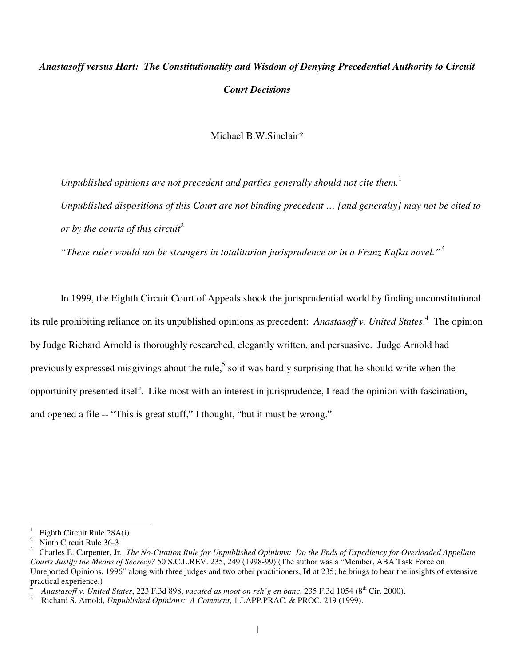# *Anastasoff versus Hart: The Constitutionality and Wisdom of Denying Precedential Authority to Circuit Court Decisions*

Michael B.W.Sinclair\*

*Unpublished opinions are not precedent and parties generally should not cite them.* 1 *Unpublished dispositions of this Court are not binding precedent … [and generally] may not be cited to or by the courts of this circuit* 2

*"These rules would not be strangers in totalitarian jurisprudence or in a Franz Kafka novel." 3*

In 1999, the Eighth Circuit Court of Appeals shook the jurisprudential world by finding unconstitutional its rule prohibiting reliance on its unpublished opinions as precedent: *Anastasoff v. United States*. 4 The opinion by Judge Richard Arnold is thoroughly researched, elegantly written, and persuasive. Judge Arnold had previously expressed misgivings about the rule,<sup>5</sup> so it was hardly surprising that he should write when the opportunity presented itself. Like most with an interest in jurisprudence, I read the opinion with fascination, and opened a file -- "This is great stuff," I thought, "but it must be wrong."

<sup>&</sup>lt;sup>1</sup> Eighth Circuit Rule 28A(i)<sup>2</sup> Ninth Circuit Rule 36.3

<sup>2</sup> Ninth Circuit Rule 36-3

<sup>3</sup> Charles E. Carpenter, Jr., *The No-Citation Rule for Unpublished Opinions: Do the Ends of Expediency for Overloaded Appellate Courts Justify the Means of Secrecy?* 50 S.C.L.REV. 235, 249 (1998-99) (The author was a "Member, ABA Task Force on Unreported Opinions, 1996" along with three judges and two other practitioners, **Id** at 235; he brings to bear the insights of extensive practical experience.)

<sup>4</sup> *Anastasoff v. United States*, 223 F.3d 898, *vacated as moot on reh'g en banc*, 235 F.3d 1054 (8 th Cir. 2000).

<sup>5</sup> Richard S. Arnold, *Unpublished Opinions: A Comment*, 1 J.APP.PRAC. & PROC. 219 (1999).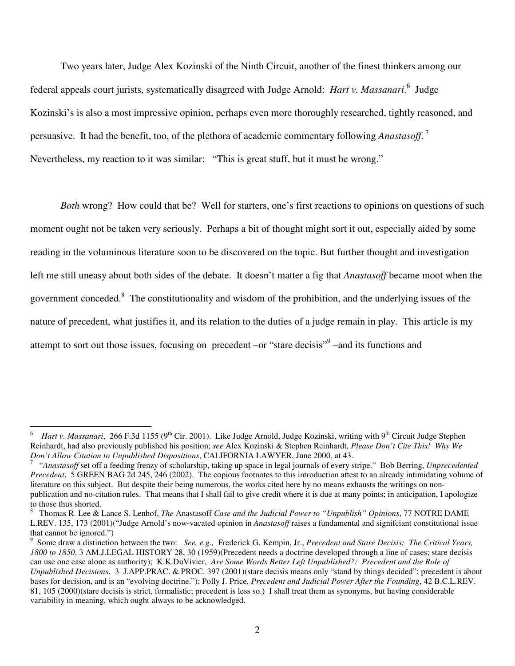Two years later, Judge Alex Kozinski of the Ninth Circuit, another of the finest thinkers among our federal appeals court jurists, systematically disagreed with Judge Arnold: *Hart v. Massanari*. 6 Judge Kozinski's is also a most impressive opinion, perhaps even more thoroughly researched, tightly reasoned, and persuasive. It had the benefit, too, of the plethora of academic commentary following *Anastasoff*. 7 Nevertheless, my reaction to it was similar: "This is great stuff, but it must be wrong."

*Both* wrong? How could that be? Well for starters, one's first reactions to opinions on questions of such moment ought not be taken very seriously. Perhaps a bit of thought might sort it out, especially aided by some reading in the voluminous literature soon to be discovered on the topic. But further thought and investigation left me still uneasy about both sides of the debate. It doesn't matter a fig that *Anastasoff* became moot when the government conceded.<sup>8</sup> The constitutionality and wisdom of the prohibition, and the underlying issues of the nature of precedent, what justifies it, and its relation to the duties of a judge remain in play. This article is my attempt to sort out those issues, focusing on precedent -or "stare decisis"<sup>9</sup> -and its functions and

<sup>&</sup>lt;sup>6</sup> Hart v. Massanari, 266 F.3d 1155 (9<sup>th</sup> Cir. 2001). Like Judge Arnold, Judge Kozinski, writing with 9<sup>th</sup> Circuit Judge Stephen Reinhardt, had also previously published his position; *see* Alex Kozinski & Stephen Reinhardt, *Please Don't Cite This! Why We Don't Allow Citation to Unpublished Dispositions*, CALIFORNIA LAWYER, June 2000, at 43.

<sup>7</sup> "*Anastasoff* set off a feeding frenzy of scholarship, taking up space in legal journals of every stripe." Bob Berring, *Unprecedented Precedent*, 5 GREEN BAG 2d 245, 246 (2002). The copious footnotes to this introduction attest to an already intimidating volume of literature on this subject. But despite their being numerous, the works cited here by no means exhausts the writings on nonpublication and no-citation rules. That means that I shall fail to give credit where it is due at many points; in anticipation, I apologize to those thus shorted.

<sup>8</sup> Thomas R. Lee & Lance S. Lenhof, *The* Anastasoff *Case and the Judicial Power to "Unpublish" Opinions*, 77 NOTRE DAME L.REV. 135, 173 (2001)("Judge Arnold's now-vacated opinion in *Anastasoff* raises a fundamental and signifciant constitutional issue that cannot be ignored.")

<sup>9</sup> Some draw a distinction between the two: *See, e.g.,* Frederick G. Kempin, Jr., *Precedent and Stare Decisis: The Critical Years, 1800 to 1850*, 3 AM.J.LEGAL HISTORY 28, 30 (1959)(Precedent needs a doctrine developed through a line of cases; stare decisis can use one case alone as authority); K.K.DuVivier, *Are Some Words Better Left Unpublished?: Precedent and the Role of Unpublished Decisions*, 3 J.APP.PRAC. & PROC. 397 (2001)(stare decisis means only "stand by things decided"; precedent is about bases for decision, and is an "evolving doctrine."); Polly J. Price, *Precedent and Judicial Power After the Founding*, 42 B.C.L.REV. 81, 105 (2000)(stare decisis is strict, formalistic; precedent is less so.) I shall treat them as synonyms, but having considerable variability in meaning, which ought always to be acknowledged.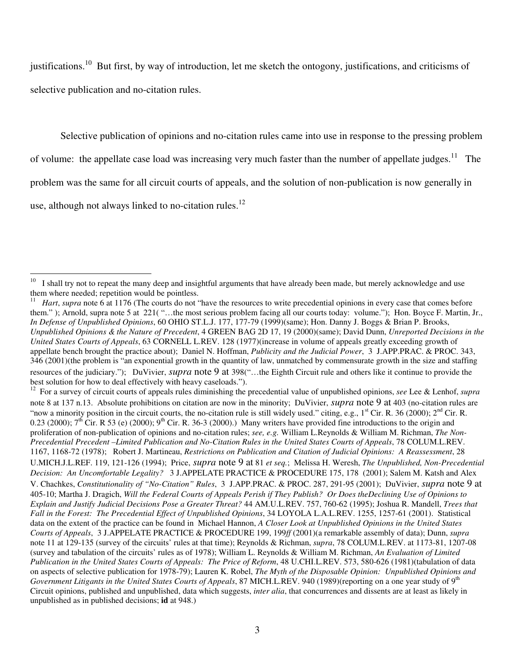justifications.<sup>10</sup> But first, by way of introduction, let me sketch the ontogony, justifications, and criticisms of selective publication and no-citation rules.

Selective publication of opinions and no-citation rules came into use in response to the pressing problem

of volume: the appellate case load was increasing very much faster than the number of appellate judges.<sup>11</sup> The

problem was the same for all circuit courts of appeals, and the solution of non-publication is now generally in

use, although not always linked to no-citation rules.<sup>12</sup>

12 For a survey of circuit courts of appeals rules diminishing the precedential value of unpublished opinions, *see* Lee & Lenhof, *supra* note 8 at 137 n.13. Absolute prohibitions on citation are now in the minority; DuVivier, *supra* note 9 at 403 (no-citation rules are "now a minority position in the circuit courts, the no-citation rule is still widely used." citing, e.g.,  $1<sup>st</sup>$  Cir. R. 36 (2000);  $2<sup>nd</sup>$  Cir. R. 0.23 (2000);  $7<sup>th</sup>$  Cir. R 53 (e) (2000);  $9<sup>th</sup>$  Cir. R. 36-3 (2000).) Many writers have provided fine introductions to the origin and proliferation of non-publication of opinions and no-citation rules; *see, e.g.* William L.Reynolds & William M. Richman, *The Non-Precedential Precedent –Limited Publication and No-Citation Rules in the United States Courts of Appeals*, 78 COLUM.L.REV. 1167, 1168-72 (1978); Robert J. Martineau, *Restrictions on Publication and Citation of Judicial Opinions: A Reassessment*, 28 U.MICH.J.L.REF. 119, 121-126 (1994); Price, *supra* note 9 at 81 *et seq.*; Melissa H. Weresh, *The Unpublished, Non-Precedential Decision: An Uncomfortable Legality?* 3 J.APPELATE PRACTICE & PROCEDURE 175, 178 (2001); Salem M. Katsh and Alex V. Chachkes, *Constitutionality of "No-Citation" Rules*, 3 J.APP.PRAC. & PROC. 287, 291-95 (2001); DuVivier, *supra* note 9 at 405-10; Martha J. Dragich, Will the Federal Courts of Appeals Perish if They Publish? Or Does the Declining Use of Opinions to *Explain and Justify Judicial Decisions Pose a Greater Threat?* 44 AM.U.L.REV. 757, 760-62 (1995); Joshua R. Mandell, *Trees that Fall in the Forest: The Precedential Effect of Unpublished Opinions*, 34 LOYOLA L.A.L.REV. 1255, 1257-61 (2001). Statistical data on the extent of the practice can be found in Michael Hannon, *A Closer Look at Unpublished Opinions in the United States Courts of Appeals*, 3 J.APPELATE PRACTICE & PROCEDURE 199, 199*ff* (2001)(a remarkable assembly of data); Dunn, *supra* note 11 at 129-135 (survey of the circuits' rules at that time); Reynolds & Richman, *supra*, 78 COLUM.L.REV. at 1173-81, 1207-08 (survey and tabulation of the circuits' rules as of 1978); William L. Reynolds & William M. Richman, *An Evaluation of Limited Publication in the United States Courts of Appeals: The Price of Reform*, 48 U.CHI.L.REV. 573, 580-626 (1981)(tabulation of data on aspects of selective publication for 1978-79); Lauren K. Robel, *The Myth of the Disposable Opinion: Unpublished Opinions and* Government Litigants in the United States Courts of Appeals, 87 MICH.L.REV. 940 (1989)(reporting on a one year study of 9<sup>th</sup> Circuit opinions, published and unpublished, data which suggests, *inter alia*, that concurrences and dissents are at least as likely in unpublished as in published decisions; **id** at 948.)

<sup>10</sup> I shall try not to repeat the many deep and insightful arguments that have already been made, but merely acknowledge and use them where needed; repetition would be pointless.

<sup>11</sup> *Hart*, *supra* note 6 at 1176 (The courts do not "have the resources to write precedential opinions in every case that comes before them." ); Arnold, supra note 5 at 221( "…the most serious problem facing all our courts today: volume."); Hon. Boyce F. Martin, Jr., *In Defense of Unpublished Opinions*, 60 OHIO ST.L.J. 177, 177-79 (1999)(same); Hon. Danny J. Boggs & Brian P. Brooks, *Unpublished Opinions & the Nature of Precedent*, 4 GREEN BAG 2D 17, 19 (2000)(same); David Dunn, *Unreported Decisions in the United States Courts of Appeals*, 63 CORNELL L.REV. 128 (1977)(increase in volume of appeals greatly exceeding growth of appellate bench brought the practice about); Daniel N. Hoffman, *Publicity and the Judicial Power*, 3 J.APP.PRAC. & PROC. 343, 346 (2001)(the problem is "an exponential growth in the quantity of law, unmatched by commensurate growth in the size and staffing resources of the judiciary."); DuVivier, *supra* note 9 at 398("…the Eighth Circuit rule and others like it continue to provide the best solution for how to deal effectively with heavy caseloads.").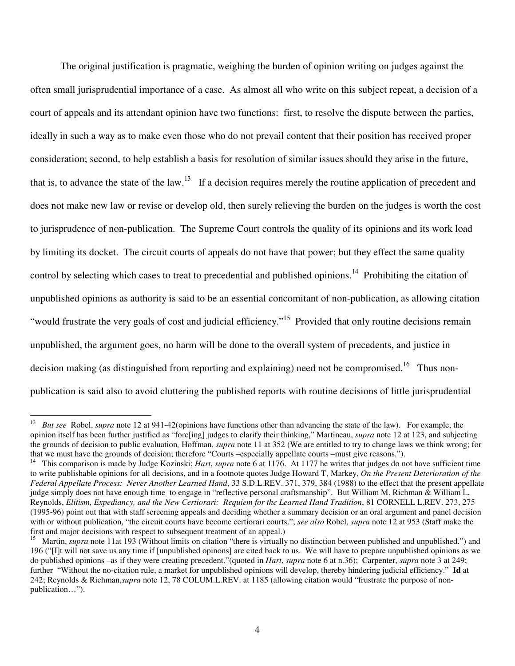The original justification is pragmatic, weighing the burden of opinion writing on judges against the often small jurisprudential importance of a case. As almost all who write on this subject repeat, a decision of a court of appeals and its attendant opinion have two functions: first, to resolve the dispute between the parties, ideally in such a way as to make even those who do not prevail content that their position has received proper consideration; second, to help establish a basis for resolution of similar issues should they arise in the future, that is, to advance the state of the law.<sup>13</sup> If a decision requires merely the routine application of precedent and does not make new law or revise or develop old, then surely relieving the burden on the judges is worth the cost to jurisprudence of non-publication. The Supreme Court controls the quality of its opinions and its work load by limiting its docket. The circuit courts of appeals do not have that power; but they effect the same quality control by selecting which cases to treat to precedential and published opinions.<sup>14</sup> Prohibiting the citation of unpublished opinions as authority is said to be an essential concomitant of non-publication, as allowing citation "would frustrate the very goals of cost and judicial efficiency."<sup>15</sup> Provided that only routine decisions remain unpublished, the argument goes, no harm will be done to the overall system of precedents, and justice in decision making (as distinguished from reporting and explaining) need not be compromised.<sup>16</sup> Thus nonpublication is said also to avoid cluttering the published reports with routine decisions of little jurisprudential

<sup>&</sup>lt;sup>13</sup> *But see* Robel, *supra* note 12 at 941-42(opinions have functions other than advancing the state of the law). For example, the opinion itself has been further justified as "forc[ing] judges to clarify their thinking," Martineau, *supra* note 12 at 123, and subjecting the grounds of decision to public evaluation*,* Hoffman, *supra* note 11 at 352 (We are entitled to try to change laws we think wrong; for that we must have the grounds of decision; therefore "Courts –especially appellate courts –must give reasons.").

<sup>&</sup>lt;sup>14</sup> This comparison is made by Judge Kozinski; *Hart*, *supra* note 6 at 1176. At 1177 he writes that judges do not have sufficient time to write publishable opinions for all decisions, and in a footnote quotes Judge Howard T, Markey, *On the Present Deterioration of the Federal Appellate Process: Never Another Learned Hand*, 33 S.D.L.REV. 371, 379, 384 (1988) to the effect that the present appellate judge simply does not have enough time to engage in "reflective personal craftsmanship". But William M. Richman & William L. Reynolds, *Elitism, Expediancy, and the New Certiorari: Requiem for the Learned Hand Tradition*, 81 CORNELL L.REV. 273, 275 (1995-96) point out that with staff screening appeals and deciding whether a summary decision or an oral argument and panel decision with or without publication, "the circuit courts have become certiorari courts."; *see also* Robel, *supra* note 12 at 953 (Staff make the first and major decisions with respect to subsequent treatment of an appeal.)

<sup>&</sup>lt;sup>15</sup> Martin, *supra* note 11at 193 (Without limits on citation "there is virtually no distinction between published and unpublished.") and 196 ("[I]t will not save us any time if [unpublished opinons] are cited back to us. We will have to prepare unpublished opinions as we do published opinions –as if they were creating precedent."(quoted in *Hart*, *supra* note 6 at n.36); Carpenter, *supra* note 3 at 249; further "Without the no-citation rule, a market for unpublished opinions will develop, thereby hindering judicial efficiency." **Id** at 242; Reynolds & Richman,*supra* note 12, 78 COLUM.L.REV. at 1185 (allowing citation would "frustrate the purpose of nonpublication…").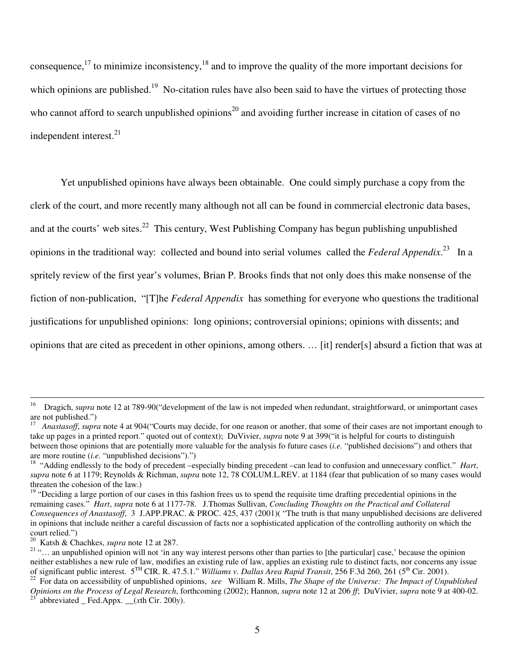consequence,  $17$  to minimize inconsistency,  $18$  and to improve the quality of the more important decisions for which opinions are published.<sup>19</sup> No-citation rules have also been said to have the virtues of protecting those who cannot afford to search unpublished opinions<sup>20</sup> and avoiding further increase in citation of cases of no independent interest.<sup>21</sup>

Yet unpublished opinions have always been obtainable. One could simply purchase a copy from the clerk of the court, and more recently many although not all can be found in commercial electronic data bases, and at the courts' web sites.<sup>22</sup> This century, West Publishing Company has begun publishing unpublished opinions in the traditional way: collected and bound into serial volumes called the *Federal Appendix*. 23 In a spritely review of the first year's volumes, Brian P. Brooks finds that not only does this make nonsense of the fiction of non-publication, "[T]he *Federal Appendix* has something for everyone who questions the traditional justifications for unpublished opinions: long opinions; controversial opinions; opinions with dissents; and opinions that are cited as precedent in other opinions, among others. … [it] render[s] absurd a fiction that was at

<sup>&</sup>lt;sup>16</sup> Dragich, *supra* note 12 at 789-90("development of the law is not impeded when redundant, straightforward, or unimportant cases are not published.")

<sup>17</sup> *Anastasoff*, *supra* note 4 at 904("Courts may decide, for one reason or another, that some of their cases are not important enough to take up pages in a printed report." quoted out of context); DuVivier, *supra* note 9 at 399("it is helpful for courts to distinguish between those opinions that are potentially more valuable for the analysis fo future cases (*i.e.* "published decisions") and others that are more routine (*i.e.* "unpublished decisions").")

<sup>&</sup>lt;sup>18</sup> "Adding endlessly to the body of precedent –especially binding precedent –can lead to confusion and unnecessary conflict." *Hart*, *supra* note 6 at 1179; Reynolds & Richman, *supra* note 12, 78 COLUM.L.REV. at 1184 (fear that publication of so many cases would threaten the cohesion of the law.)

<sup>&</sup>lt;sup>19</sup> "Deciding a large portion of our cases in this fashion frees us to spend the requisite time drafting precedential opinions in the remaining cases." *Hart*, *supra* note 6 at 1177-78. J.Thomas Sullivan, *Concluding Thoughts on the Practical and Collateral Consequences of Anastasoff*, 3 J.APP.PRAC. & PROC. 425, 437 (2001)( "The truth is that many unpublished decisions are delivered in opinions that include neither a careful discussion of facts nor a sophisticated application of the controlling authority on which the court relied.")

<sup>20</sup> Katsh & Chachkes, *supra* note 12 at 287.

<sup>&</sup>lt;sup>21</sup> "... an unpublished opinion will not 'in any way interest persons other than parties to [the particular] case,' because the opinion neither establishes a new rule of law, modifies an existing rule of law, applies an existing rule to distinct facts, nor concerns any issue of significant public interest. 5 TH CIR. R. 47.5.1." *Williams v. Dallas Area Rapid Transit*, 256 F.3d 260, 261 (5 th Cir. 2001).

<sup>22</sup> For data on accessibility of unpublished opinions, *see* William R. Mills, *The Shape of the Universe: The Impact of Unpublished Opinions on the Process of Legal Research*, forthcoming (2002); Hannon, *supra* note 12 at 206 *ff*; DuVivier, *supra* note 9 at 400-02. 23

abbreviated \_ Fed.Appx. \_\_(*x*th Cir. 200*y*).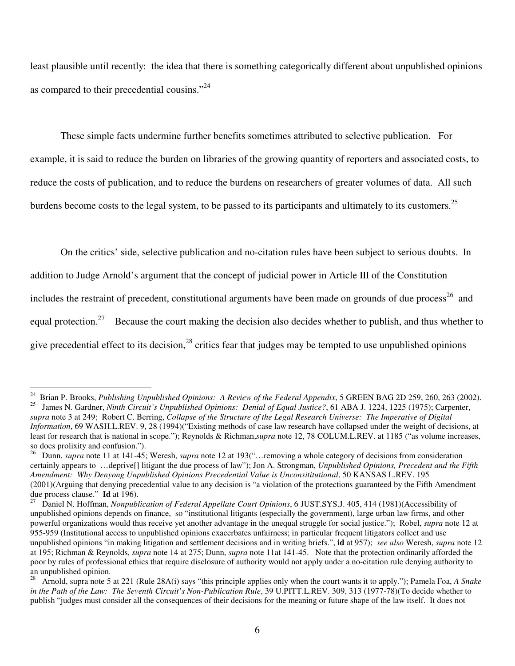least plausible until recently: the idea that there is something categorically different about unpublished opinions as compared to their precedential cousins."<sup>24</sup>

These simple facts undermine further benefits sometimes attributed to selective publication. For example, it is said to reduce the burden on libraries of the growing quantity of reporters and associated costs, to reduce the costs of publication, and to reduce the burdens on researchers of greater volumes of data. All such burdens become costs to the legal system, to be passed to its participants and ultimately to its customers.<sup>25</sup>

On the critics' side, selective publication and no-citation rules have been subject to serious doubts. In

addition to Judge Arnold's argument that the concept of judicial power in Article III of the Constitution

includes the restraint of precedent, constitutional arguments have been made on grounds of due process<sup>26</sup> and

equal protection.<sup>27</sup> Because the court making the decision also decides whether to publish, and thus whether to

give precedential effect to its decision,<sup>28</sup> critics fear that judges may be tempted to use unpublished opinions

<sup>24</sup> Brian P. Brooks, *Publishing Unpublished Opinions: A Review of the Federal Appendix*, 5 GREEN BAG 2D 259, 260, 263 (2002). 25 James N. Gardner, *Ninth Circuit's Unpublished Opinions: Denial of Equal Justice?*, 61 ABA J. 1224, 1225 (1975); Carpenter, *supra* note 3 at 249; Robert C. Berring, *Collapse of the Structure of the Legal Research Universe: The Imperative of Digital*

*Information*, 69 WASH.L.REV. 9, 28 (1994)("Existing methods of case law research have collapsed under the weight of decisions, at least for research that is national in scope."); Reynolds & Richman,*supra* note 12, 78 COLUM.L.REV. at 1185 ("as volume increases, so does prolixity and confusion.").

<sup>26</sup> Dunn, *supra* note 11 at 141-45; Weresh, *supra* note 12 at 193("…removing a whole category of decisions from consideration certainly appears to …deprive[] litigant the due process of law"); Jon A. Strongman, *Unpublished Opinions, Precedent and the Fifth Amendment: Why Denyong Unpublished Opinions Precedential Value is Unconsititutional*, 50 KANSAS L.REV. 195 (2001)(Arguing that denying precedential value to any decision is "a violation of the protections guaranteed by the Fifth Amendment due process clause." **Id** at 196).

<sup>27</sup> Daniel N. Hoffman, *Nonpublication of Federal Appellate Court Opinions*, 6 JUST.SYS.J. 405, 414 (1981)(Accessibility of unpublished opinions depends on finance, so "institutional litigants (especially the government), large urban law firms, and other powerful organizations would thus receive yet another advantage in the unequal struggle for social justice."); Robel, *supra* note 12 at 955-959 (Institutional access to unpublished opinions exacerbates unfairness; in particular frequent litigators collect and use unpublished opinions "in making litigation and settlement decisions and in writing briefs.", **id** at 957); *see also* Weresh, *supra* note 12 at 195; Richman & Reynolds, *supra* note 14 at 275; Dunn, *supra* note 11at 141-45. Note that the protection ordinarily afforded the poor by rules of professional ethics that require disclosure of authority would not apply under a no-citation rule denying authority to an unpublished opinion.

<sup>28</sup> Arnold, supra note 5 at 221 (Rule 28A(i) says "this principle applies only when the court wants it to apply."); Pamela Foa, *A Snake in the Path of the Law: The Seventh Circuit's Non-Publication Rule*, 39 U.PITT.L.REV. 309, 313 (1977-78)(To decide whether to publish "judges must consider all the consequences of their decisions for the meaning or future shape of the law itself. It does not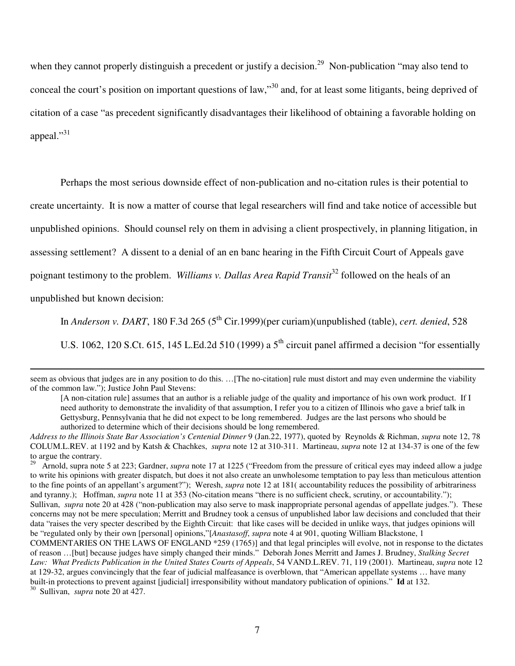when they cannot properly distinguish a precedent or justify a decision.<sup>29</sup> Non-publication "may also tend to conceal the court's position on important questions of law,"<sup>30</sup> and, for at least some litigants, being deprived of citation of a case "as precedent significantly disadvantages their likelihood of obtaining a favorable holding on appeal."31

Perhaps the most serious downside effect of non-publication and no-citation rules is their potential to create uncertainty. It is now a matter of course that legal researchers will find and take notice of accessible but unpublished opinions. Should counsel rely on them in advising a client prospectively, in planning litigation, in assessing settlement? A dissent to a denial of an en banc hearing in the Fifth Circuit Court of Appeals gave poignant testimony to the problem. *Williams v. Dallas Area Rapid Transit* 32 followed on the heals of an unpublished but known decision:

In *Anderson v. DART*, 180 F.3d 265 (5 th Cir.1999)(per curiam)(unpublished (table), *cert. denied*, 528

U.S. 1062, 120 S.Ct. 615, 145 L.Ed.2d 510 (1999) a  $5<sup>th</sup>$  circuit panel affirmed a decision "for essentially

seem as obvious that judges are in any position to do this. …[The no-citation] rule must distort and may even undermine the viability of the common law."); Justice John Paul Stevens:

[A non-citation rule] assumes that an author is a reliable judge of the quality and importance of his own work product. If I need authority to demonstrate the invalidity of that assumption, I refer you to a citizen of Illinois who gave a brief talk in Gettysburg, Pennsylvania that he did not expect to be long remembered. Judges are the last persons who should be authorized to determine which of their decisions should be long remembered.

Sullivan, *supra* note 20 at 427.

*Address to the Illinois State Bar Association's Centenial Dinner* 9 (Jan.22, 1977), quoted by Reynolds & Richman, *supra* note 12, 78 COLUM.L.REV. at 1192 and by Katsh & Chachkes, *supra* note 12 at 310-311. Martineau, *supra* note 12 at 134-37 is one of the few to argue the contrary.<br> $^{29}$  Arnold supra note

<sup>29</sup> Arnold, supra note 5 at 223; Gardner, *supra* note 17 at 1225 ("Freedom from the pressure of critical eyes may indeed allow a judge to write his opinions with greater dispatch, but does it not also create an unwholesome temptation to pay less than meticulous attention to the fine points of an appellant's argument?"); Weresh, *supra* note 12 at 181( accountability reduces the possibility of arbitrariness and tyranny.); Hoffman, *supra* note 11 at 353 (No-citation means "there is no sufficient check, scrutiny, or accountability."); Sullivan, *supra* note 20 at 428 ("non-publication may also serve to mask inappropriate personal agendas of appellate judges."). These concerns may not be mere speculation; Merritt and Brudney took a census of unpublished labor law decisions and concluded that their data "raises the very specter described by the Eighth Circuit: that like cases will be decided in unlike ways, that judges opinions will be "regulated only by their own [personal] opinions,"[*Anastasoff*, *supra* note 4 at 901, quoting William Blackstone, 1

COMMENTARIES ON THE LAWS OF ENGLAND \*259 (1765)] and that legal principles will evolve, not in response to the dictates of reason …[but] because judges have simply changed their minds." Deborah Jones Merritt and James J. Brudney, *Stalking Secret Law: What Predicts Publication in the United States Courts of Appeals*, 54 VAND.L.REV. 71, 119 (2001). Martineau, *supra* note 12 at 129-32, argues convincingly that the fear of judicial malfeasance is overblown, that "American appellate systems … have many built-in protections to prevent against [judicial] irresponsibility without mandatory publication of opinions." **Id** at 132. 30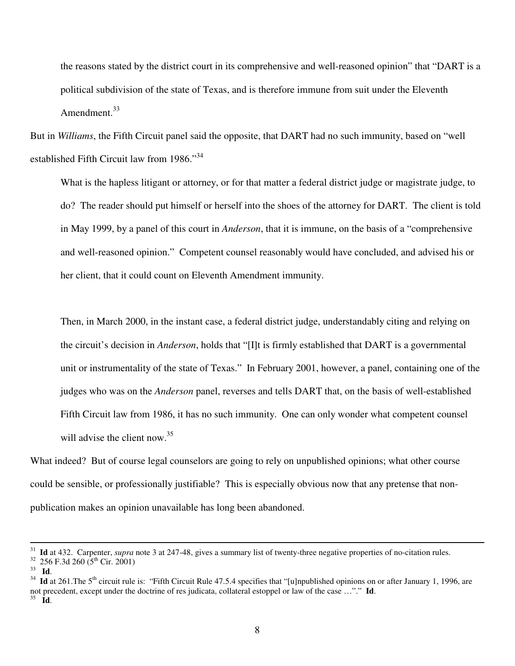the reasons stated by the district court in its comprehensive and well-reasoned opinion" that "DART is a political subdivision of the state of Texas, and is therefore immune from suit under the Eleventh Amendment.<sup>33</sup>

But in *Williams*, the Fifth Circuit panel said the opposite, that DART had no such immunity, based on "well established Fifth Circuit law from 1986."<sup>34</sup>

What is the hapless litigant or attorney, or for that matter a federal district judge or magistrate judge, to do? The reader should put himself or herself into the shoes of the attorney for DART. The client is told in May 1999, by a panel of this court in *Anderson*, that it is immune, on the basis of a "comprehensive and well-reasoned opinion." Competent counsel reasonably would have concluded, and advised his or her client, that it could count on Eleventh Amendment immunity.

Then, in March 2000, in the instant case, a federal district judge, understandably citing and relying on the circuit's decision in *Anderson*, holds that "[I]t is firmly established that DART is a governmental unit or instrumentality of the state of Texas." In February 2001, however, a panel, containing one of the judges who was on the *Anderson* panel, reverses and tells DART that, on the basis of well-established Fifth Circuit law from 1986, it has no such immunity. One can only wonder what competent counsel will advise the client now.<sup>35</sup>

What indeed? But of course legal counselors are going to rely on unpublished opinions; what other course could be sensible, or professionally justifiable? This is especially obvious now that any pretense that nonpublication makes an opinion unavailable has long been abandoned.

<sup>31</sup> **Id** at 432. Carpenter, *supra* note 3 at 247-48, gives a summary list of twenty-three negative properties of no-citation rules.

 $32$  256 F.3d 260 (5<sup>th</sup> Cir. 2001)

<sup>33</sup> **Id**.

<sup>&</sup>lt;sup>34</sup> Id at 261. The 5<sup>th</sup> circuit rule is: "Fifth Circuit Rule 47.5.4 specifies that "[u]npublished opinions on or after January 1, 1996, are not precedent, except under the doctrine of res judicata, collateral estoppel or law of the case …"." **Id**. 35 **Id**.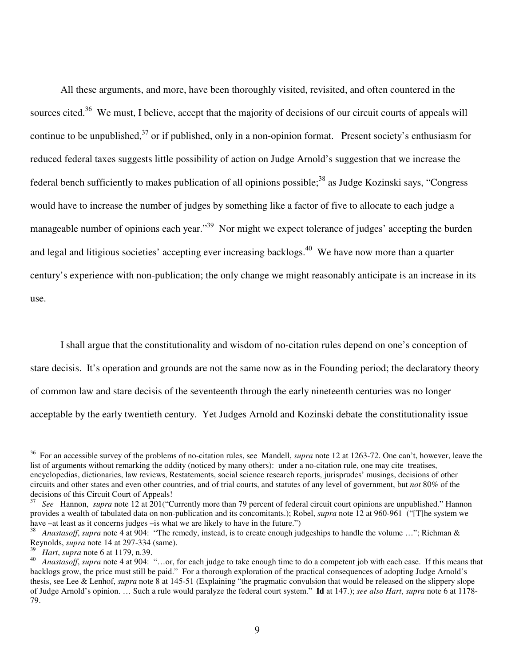All these arguments, and more, have been thoroughly visited, revisited, and often countered in the sources cited.<sup>36</sup> We must, I believe, accept that the majority of decisions of our circuit courts of appeals will continue to be unpublished,<sup>37</sup> or if published, only in a non-opinion format. Present society's enthusiasm for reduced federal taxes suggests little possibility of action on Judge Arnold's suggestion that we increase the federal bench sufficiently to makes publication of all opinions possible;<sup>38</sup> as Judge Kozinski says, "Congress would have to increase the number of judges by something like a factor of five to allocate to each judge a manageable number of opinions each year."<sup>39</sup> Nor might we expect tolerance of judges' accepting the burden and legal and litigious societies' accepting ever increasing backlogs.<sup>40</sup> We have now more than a quarter century's experience with non-publication; the only change we might reasonably anticipate is an increase in its use.

I shall argue that the constitutionality and wisdom of no-citation rules depend on one's conception of stare decisis. It's operation and grounds are not the same now as in the Founding period; the declaratory theory of common law and stare decisis of the seventeenth through the early nineteenth centuries was no longer acceptable by the early twentieth century. Yet Judges Arnold and Kozinski debate the constitutionality issue

<sup>&</sup>lt;sup>36</sup> For an accessible survey of the problems of no-citation rules, see Mandell, *supra* note 12 at 1263-72. One can't, however, leave the list of arguments without remarking the oddity (noticed by many others): under a no-citation rule, one may cite treatises, encyclopedias, dictionaries, law reviews, Restatements, social science research reports, jurisprudes' musings, decisions of other circuits and other states and even other countries, and of trial courts, and statutes of any level of government, but *not* 80% of the decisions of this Circuit Court of Appeals!

<sup>37</sup> *See* Hannon, *supra* note 12 at 201("Currently more than 79 percent of federal circuit court opinions are unpublished." Hannon provides a wealth of tabulated data on non-publication and its concomitants.); Robel, *supra* note 12 at 960-961 ("[T]he system we have –at least as it concerns judges –is what we are likely to have in the future.")

<sup>38</sup> *Anastasoff*, *supra* note 4 at 904: "The remedy, instead, is to create enough judgeships to handle the volume …"; Richman & Reynolds, *supra* note 14 at 297-334 (same).

 $^{39}$  *Hart*, *supra* note 6 at 1179, n.39.<br><sup>40</sup> Angstasoff, supra note 4 at 904.

<sup>40</sup> *Anastasoff*, *supra* note 4 at 904: "…or, for each judge to take enough time to do a competent job with each case. If this means that backlogs grow, the price must still be paid." For a thorough exploration of the practical consequences of adopting Judge Arnold's thesis, see Lee & Lenhof, *supra* note 8 at 145-51 (Explaining "the pragmatic convulsion that would be released on the slippery slope of Judge Arnold's opinion. … Such a rule would paralyze the federal court system." **Id** at 147.); *see also Hart*, *supra* note 6 at 1178- 79.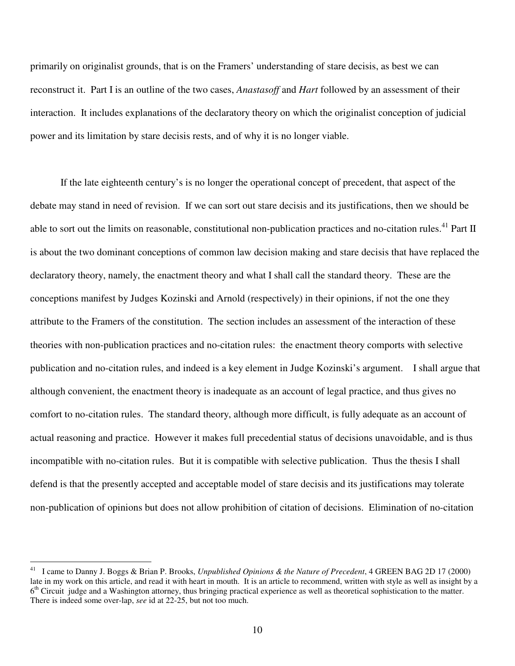primarily on originalist grounds, that is on the Framers' understanding of stare decisis, as best we can reconstruct it. Part I is an outline of the two cases, *Anastasoff* and *Hart* followed by an assessment of their interaction. It includes explanations of the declaratory theory on which the originalist conception of judicial power and its limitation by stare decisis rests, and of why it is no longer viable.

If the late eighteenth century's is no longer the operational concept of precedent, that aspect of the debate may stand in need of revision. If we can sort out stare decisis and its justifications, then we should be able to sort out the limits on reasonable, constitutional non-publication practices and no-citation rules.<sup>41</sup> Part II is about the two dominant conceptions of common law decision making and stare decisis that have replaced the declaratory theory, namely, the enactment theory and what I shall call the standard theory. These are the conceptions manifest by Judges Kozinski and Arnold (respectively) in their opinions, if not the one they attribute to the Framers of the constitution. The section includes an assessment of the interaction of these theories with non-publication practices and no-citation rules: the enactment theory comports with selective publication and no-citation rules, and indeed is a key element in Judge Kozinski's argument. I shall argue that although convenient, the enactment theory is inadequate as an account of legal practice, and thus gives no comfort to no-citation rules. The standard theory, although more difficult, is fully adequate as an account of actual reasoning and practice. However it makes full precedential status of decisions unavoidable, and is thus incompatible with no-citation rules. But it is compatible with selective publication. Thus the thesis I shall defend is that the presently accepted and acceptable model of stare decisis and its justifications may tolerate non-publication of opinions but does not allow prohibition of citation of decisions. Elimination of no-citation

<sup>41</sup> I came to Danny J. Boggs & Brian P. Brooks, *Unpublished Opinions & the Nature of Precedent*, 4 GREEN BAG 2D 17 (2000) late in my work on this article, and read it with heart in mouth. It is an article to recommend, written with style as well as insight by a 6<sup>th</sup> Circuit judge and a Washington attorney, thus bringing practical experience as well as theoretical sophistication to the matter. There is indeed some over-lap, *see* id at 22-25, but not too much.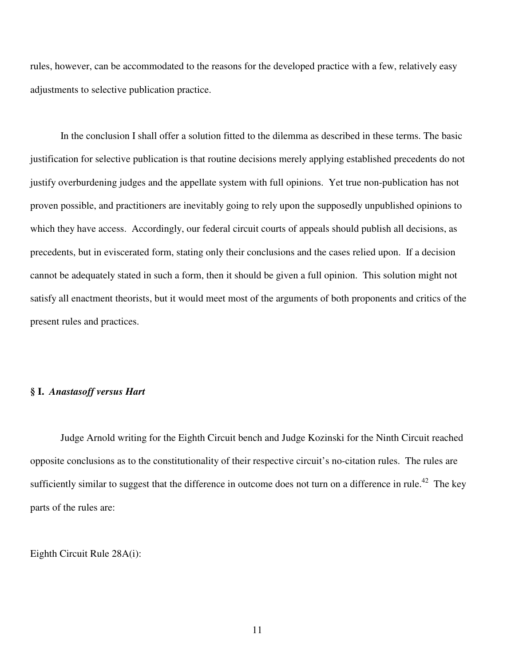rules, however, can be accommodated to the reasons for the developed practice with a few, relatively easy adjustments to selective publication practice.

In the conclusion I shall offer a solution fitted to the dilemma as described in these terms. The basic justification for selective publication is that routine decisions merely applying established precedents do not justify overburdening judges and the appellate system with full opinions. Yet true non-publication has not proven possible, and practitioners are inevitably going to rely upon the supposedly unpublished opinions to which they have access. Accordingly, our federal circuit courts of appeals should publish all decisions, as precedents, but in eviscerated form, stating only their conclusions and the cases relied upon. If a decision cannot be adequately stated in such a form, then it should be given a full opinion. This solution might not satisfy all enactment theorists, but it would meet most of the arguments of both proponents and critics of the present rules and practices.

#### **§ I.** *Anastasoff versus Hart*

Judge Arnold writing for the Eighth Circuit bench and Judge Kozinski for the Ninth Circuit reached opposite conclusions as to the constitutionality of their respective circuit's no-citation rules. The rules are sufficiently similar to suggest that the difference in outcome does not turn on a difference in rule.<sup>42</sup> The key parts of the rules are:

Eighth Circuit Rule 28A(i):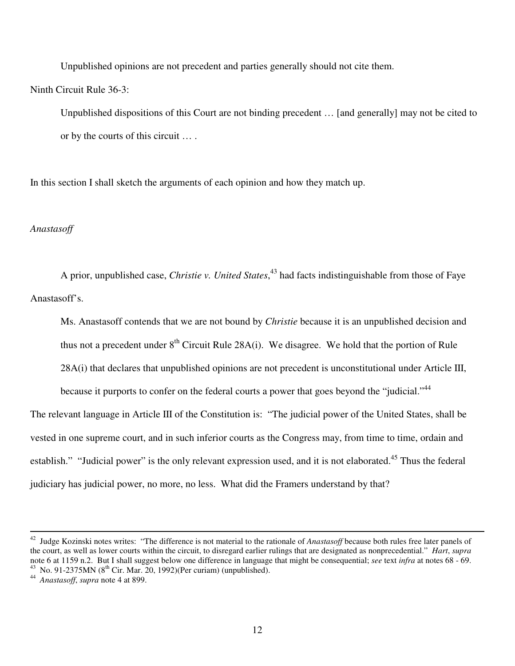Unpublished opinions are not precedent and parties generally should not cite them.

Ninth Circuit Rule 36-3:

Unpublished dispositions of this Court are not binding precedent … [and generally] may not be cited to or by the courts of this circuit … .

In this section I shall sketch the arguments of each opinion and how they match up.

## *Anastasoff*

A prior, unpublished case, *Christie v. United States*, 43 had facts indistinguishable from those of Faye Anastasoff's.

Ms. Anastasoff contends that we are not bound by *Christie* because it is an unpublished decision and thus not a precedent under  $8<sup>th</sup>$  Circuit Rule 28A(i). We disagree. We hold that the portion of Rule 28A(i) that declares that unpublished opinions are not precedent is unconstitutional under Article III,

because it purports to confer on the federal courts a power that goes beyond the "judicial."<sup>44</sup> The relevant language in Article III of the Constitution is: "The judicial power of the United States, shall be vested in one supreme court, and in such inferior courts as the Congress may, from time to time, ordain and establish." "Judicial power" is the only relevant expression used, and it is not elaborated.<sup>45</sup> Thus the federal judiciary has judicial power, no more, no less. What did the Framers understand by that?

<sup>&</sup>lt;sup>42</sup> Judge Kozinski notes writes: "The difference is not material to the rationale of *Anastasoff* because both rules free later panels of the court, as well as lower courts within the circuit, to disregard earlier rulings that are designated as nonprecedential." *Hart*, *supra* note 6 at 1159 n.2. But I shall suggest below one difference in language that might be consequential; *see* text *infra* at notes 68 - 69. <sup>43</sup> No. 91-2375MN ( $8^{th}$  Cir. Mar. 20, 1992)(Per curiam) (unpublished).

<sup>44</sup> *Anastasoff*, *supra* note 4 at 899.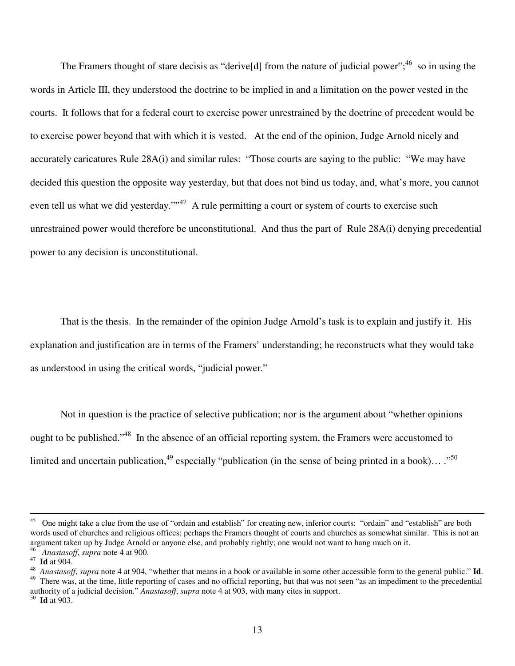The Framers thought of stare decisis as "derive[d] from the nature of judicial power";  $46$  so in using the words in Article III, they understood the doctrine to be implied in and a limitation on the power vested in the courts. It follows that for a federal court to exercise power unrestrained by the doctrine of precedent would be to exercise power beyond that with which it is vested. At the end of the opinion, Judge Arnold nicely and accurately caricatures Rule 28A(i) and similar rules: "Those courts are saying to the public: "We may have decided this question the opposite way yesterday, but that does not bind us today, and, what's more, you cannot even tell us what we did yesterday."<sup>17</sup> A rule permitting a court or system of courts to exercise such unrestrained power would therefore be unconstitutional. And thus the part of Rule 28A(i) denying precedential power to any decision is unconstitutional.

That is the thesis. In the remainder of the opinion Judge Arnold's task is to explain and justify it. His explanation and justification are in terms of the Framers' understanding; he reconstructs what they would take as understood in using the critical words, "judicial power."

Not in question is the practice of selective publication; nor is the argument about "whether opinions ought to be published."<sup>48</sup> In the absence of an official reporting system, the Framers were accustomed to limited and uncertain publication,  $49$  especially "publication (in the sense of being printed in a book)...  $\cdot$ <sup>50</sup>

50 **Id** at 903.

<sup>&</sup>lt;sup>45</sup> One might take a clue from the use of "ordain and establish" for creating new, inferior courts: "ordain" and "establish" are both words used of churches and religious offices; perhaps the Framers thought of courts and churches as somewhat similar. This is not an argument taken up by Judge Arnold or anyone else, and probably rightly; one would not want to hang much on it. <sup>46</sup> *Anastasoff*, *supra* note 4 at 900.

<sup>47</sup> **Id** at 904.

<sup>48</sup> *Anastasoff*, *supra* note 4 at 904, "whether that means in a book or available in some other accessible form to the general public." **Id**. <sup>49</sup> There was, at the time, little reporting of cases and no official reporting, but that was not seen "as an impediment to the precedential authority of a judicial decision." *Anastasoff*, *supra* note 4 at 903, with many cites in support.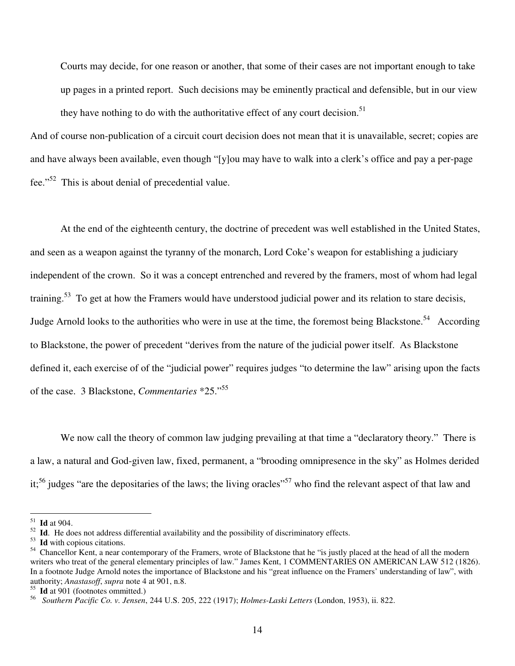Courts may decide, for one reason or another, that some of their cases are not important enough to take up pages in a printed report. Such decisions may be eminently practical and defensible, but in our view they have nothing to do with the authoritative effect of any court decision.<sup>51</sup>

And of course non-publication of a circuit court decision does not mean that it is unavailable, secret; copies are and have always been available, even though "[y]ou may have to walk into a clerk's office and pay a per-page fee."<sup>52</sup> This is about denial of precedential value.

At the end of the eighteenth century, the doctrine of precedent was well established in the United States, and seen as a weapon against the tyranny of the monarch, Lord Coke's weapon for establishing a judiciary independent of the crown. So it was a concept entrenched and revered by the framers, most of whom had legal training.<sup>53</sup> To get at how the Framers would have understood judicial power and its relation to stare decisis, Judge Arnold looks to the authorities who were in use at the time, the foremost being Blackstone.<sup>54</sup> According to Blackstone, the power of precedent "derives from the nature of the judicial power itself. As Blackstone defined it, each exercise of of the "judicial power" requires judges "to determine the law" arising upon the facts of the case. 3 Blackstone, *Commentaries* \*25." 55

We now call the theory of common law judging prevailing at that time a "declaratory theory." There is a law, a natural and God-given law, fixed, permanent, a "brooding omnipresence in the sky" as Holmes derided it;<sup>56</sup> judges "are the depositaries of the laws; the living oracles"<sup>57</sup> who find the relevant aspect of that law and

 $\frac{51}{1}$  **Id** at 904.

<sup>&</sup>lt;sup>52</sup> Id. He does not address differential availability and the possibility of discriminatory effects.

<sup>53</sup> **Id** with copious citations.

<sup>&</sup>lt;sup>54</sup> Chancellor Kent, a near contemporary of the Framers, wrote of Blackstone that he "is justly placed at the head of all the modern writers who treat of the general elementary principles of law." James Kent, 1 COMMENTARIES ON AMERICAN LAW 512 (1826). In a footnote Judge Arnold notes the importance of Blackstone and his "great influence on the Framers' understanding of law", with authority; *Anastasoff*, *supra* note 4 at 901, n.8.

<sup>55</sup> **Id** at 901 (footnotes ommitted.)

<sup>56</sup> *Southern Pacific Co. v. Jensen*, 244 U.S. 205, 222 (1917); *Holmes-Laski Letters* (London, 1953), ii. 822.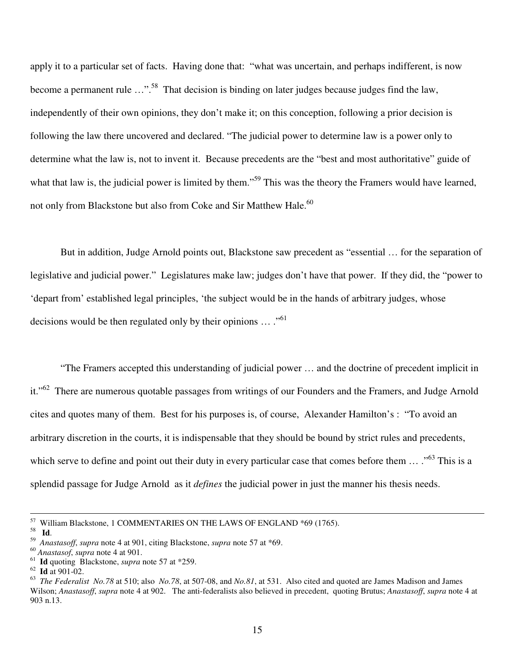apply it to a particular set of facts. Having done that: "what was uncertain, and perhaps indifferent, is now become a permanent rule ...".<sup>58</sup> That decision is binding on later judges because judges find the law, independently of their own opinions, they don't make it; on this conception, following a prior decision is following the law there uncovered and declared. "The judicial power to determine law is a power only to determine what the law is, not to invent it. Because precedents are the "best and most authoritative" guide of what that law is, the judicial power is limited by them."<sup>59</sup> This was the theory the Framers would have learned, not only from Blackstone but also from Coke and Sir Matthew Hale.<sup>60</sup>

But in addition, Judge Arnold points out, Blackstone saw precedent as "essential … for the separation of legislative and judicial power." Legislatures make law; judges don't have that power. If they did, the "power to 'depart from' established legal principles, 'the subject would be in the hands of arbitrary judges, whose decisions would be then regulated only by their opinions  $\dots$ ."<sup>61</sup>

"The Framers accepted this understanding of judicial power … and the doctrine of precedent implicit in it."<sup>62</sup> There are numerous quotable passages from writings of our Founders and the Framers, and Judge Arnold cites and quotes many of them. Best for his purposes is, of course, Alexander Hamilton's : "To avoid an arbitrary discretion in the courts, it is indispensable that they should be bound by strict rules and precedents, which serve to define and point out their duty in every particular case that comes before them ... ."<sup>63</sup> This is a splendid passage for Judge Arnold as it *defines* the judicial power in just the manner his thesis needs.

<sup>57</sup> William Blackstone, 1 COMMENTARIES ON THE LAWS OF ENGLAND \*69 (1765).

<sup>58</sup> **Id**.

<sup>59</sup> *Anastasoff*, *supra* note 4 at 901, citing Blackstone, *supra* note 57 at \*69.

<sup>60</sup> *Anastasof*, *supra* note 4 at 901.

<sup>61</sup> **Id** quoting Blackstone, *supra* note 57 at \*259.

<sup>62</sup> **Id** at 901-02.

<sup>63</sup> *The Federalist No.78* at 510; also *No.78*, at 507-08, and *No.81*, at 531. Also cited and quoted are James Madison and James Wilson; *Anastasoff*, *supra* note 4 at 902. The anti-federalists also believed in precedent, quoting Brutus; *Anastasoff*, *supra* note 4 at 903 n.13.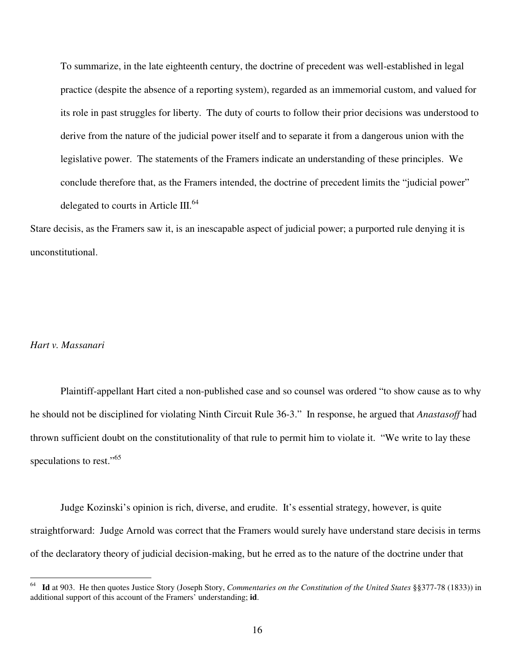To summarize, in the late eighteenth century, the doctrine of precedent was well-established in legal practice (despite the absence of a reporting system), regarded as an immemorial custom, and valued for its role in past struggles for liberty. The duty of courts to follow their prior decisions was understood to derive from the nature of the judicial power itself and to separate it from a dangerous union with the legislative power. The statements of the Framers indicate an understanding of these principles. We conclude therefore that, as the Framers intended, the doctrine of precedent limits the "judicial power" delegated to courts in Article III.<sup>64</sup>

Stare decisis, as the Framers saw it, is an inescapable aspect of judicial power; a purported rule denying it is unconstitutional.

### *Hart v. Massanari*

Plaintiff-appellant Hart cited a non-published case and so counsel was ordered "to show cause as to why he should not be disciplined for violating Ninth Circuit Rule 36-3." In response, he argued that *Anastasoff* had thrown sufficient doubt on the constitutionality of that rule to permit him to violate it. "We write to lay these speculations to rest."<sup>65</sup>

Judge Kozinski's opinion is rich, diverse, and erudite. It's essential strategy, however, is quite straightforward: Judge Arnold was correct that the Framers would surely have understand stare decisis in terms of the declaratory theory of judicial decision-making, but he erred as to the nature of the doctrine under that

<sup>64</sup> **Id** at 903. He then quotes Justice Story (Joseph Story, *Commentaries on the Constitution of the United States* §§377-78 (1833)) in additional support of this account of the Framers' understanding; **id**.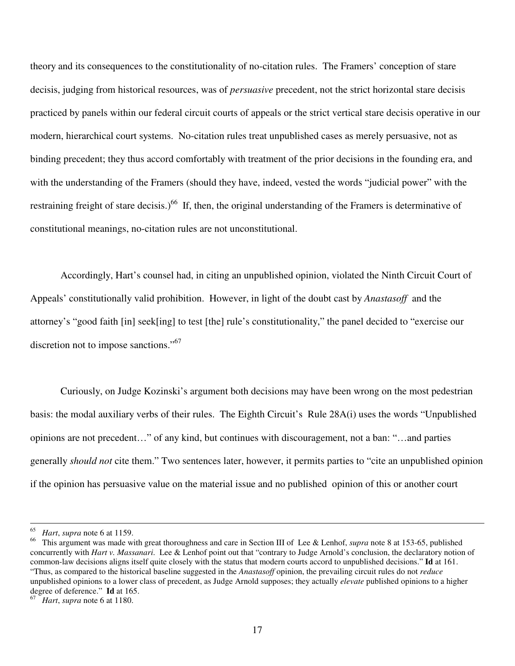theory and its consequences to the constitutionality of no-citation rules. The Framers' conception of stare decisis, judging from historical resources, was of *persuasive* precedent, not the strict horizontal stare decisis practiced by panels within our federal circuit courts of appeals or the strict vertical stare decisis operative in our modern, hierarchical court systems. No-citation rules treat unpublished cases as merely persuasive, not as binding precedent; they thus accord comfortably with treatment of the prior decisions in the founding era, and with the understanding of the Framers (should they have, indeed, vested the words "judicial power" with the restraining freight of stare decisis.)<sup>66</sup> If, then, the original understanding of the Framers is determinative of constitutional meanings, no-citation rules are not unconstitutional.

Accordingly, Hart's counsel had, in citing an unpublished opinion, violated the Ninth Circuit Court of Appeals' constitutionally valid prohibition. However, in light of the doubt cast by *Anastasoff* and the attorney's "good faith [in] seek[ing] to test [the] rule's constitutionality," the panel decided to "exercise our discretion not to impose sanctions."<sup>67</sup>

Curiously, on Judge Kozinski's argument both decisions may have been wrong on the most pedestrian basis: the modal auxiliary verbs of their rules. The Eighth Circuit's Rule 28A(i) uses the words "Unpublished opinions are not precedent…" of any kind, but continues with discouragement, not a ban: "…and parties generally *should not* cite them." Two sentences later, however, it permits parties to "cite an unpublished opinion if the opinion has persuasive value on the material issue and no published opinion of this or another court

<sup>&</sup>lt;sup>65</sup> *Hart*, *supra* note 6 at 1159.<br><sup>66</sup> This aroument was made wi

<sup>66</sup> This argument was made with great thoroughness and care in Section III of Lee & Lenhof, *supra* note 8 at 153-65, published concurrently with *Hart v. Massanari*. Lee & Lenhof point out that "contrary to Judge Arnold's conclusion, the declaratory notion of common-law decisions aligns itself quite closely with the status that modern courts accord to unpublished decisions." **Id** at 161. "Thus, as compared to the historical baseline suggested in the *Anastasoff* opinion, the prevailing circuit rules do not *reduce* unpublished opinions to a lower class of precedent, as Judge Arnold supposes; they actually *elevate* published opinions to a higher degree of deference." **Id** at 165.

*Hart*, *supra* note 6 at 1180.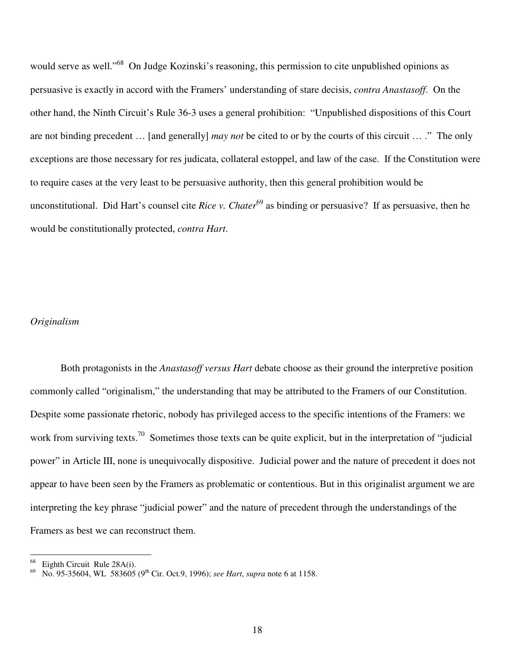would serve as well."<sup>68</sup> On Judge Kozinski's reasoning, this permission to cite unpublished opinions as persuasive is exactly in accord with the Framers' understanding of stare decisis, *contra Anastasoff*. On the other hand, the Ninth Circuit's Rule 36-3 uses a general prohibition: "Unpublished dispositions of this Court are not binding precedent … [and generally] *may not* be cited to or by the courts of this circuit … ." The only exceptions are those necessary for res judicata, collateral estoppel, and law of the case. If the Constitution were to require cases at the very least to be persuasive authority, then this general prohibition would be unconstitutional. Did Hart's counsel cite *Rice v. Chater* 69 as binding or persuasive? If as persuasive, then he would be constitutionally protected, *contra Hart*.

## *Originalism*

Both protagonists in the *Anastasoff versus Hart* debate choose as their ground the interpretive position commonly called "originalism," the understanding that may be attributed to the Framers of our Constitution. Despite some passionate rhetoric, nobody has privileged access to the specific intentions of the Framers: we work from surviving texts.<sup>70</sup> Sometimes those texts can be quite explicit, but in the interpretation of "judicial power" in Article III, none is unequivocally dispositive. Judicial power and the nature of precedent it does not appear to have been seen by the Framers as problematic or contentious. But in this originalist argument we are interpreting the key phrase "judicial power" and the nature of precedent through the understandings of the Framers as best we can reconstruct them.

<sup>&</sup>lt;sup>68</sup> Eighth Circuit Rule 28A(i).<br><sup>69</sup> N<sub>2</sub> 05 25604 W<sub>4</sub> 582605

<sup>&</sup>lt;sup>69</sup> No. 95-35604, WL 583605 (9<sup>th</sup> Cir. Oct.9, 1996); *see Hart*, *supra* note 6 at 1158.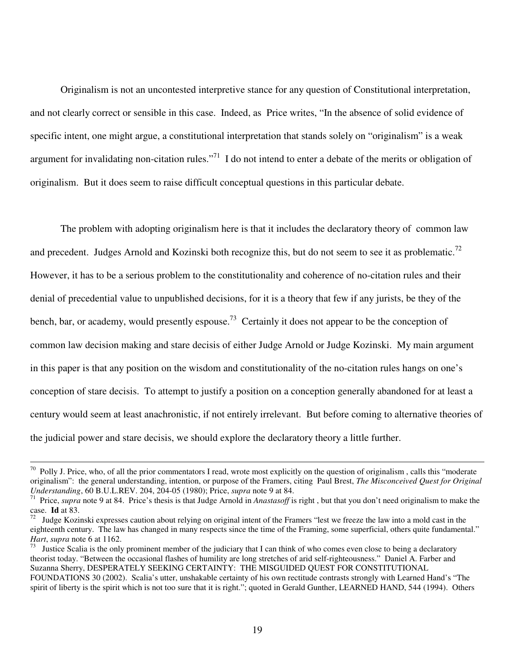Originalism is not an uncontested interpretive stance for any question of Constitutional interpretation, and not clearly correct or sensible in this case. Indeed, as Price writes, "In the absence of solid evidence of specific intent, one might argue, a constitutional interpretation that stands solely on "originalism" is a weak argument for invalidating non-citation rules."<sup>71</sup> I do not intend to enter a debate of the merits or obligation of originalism. But it does seem to raise difficult conceptual questions in this particular debate.

The problem with adopting originalism here is that it includes the declaratory theory of common law and precedent. Judges Arnold and Kozinski both recognize this, but do not seem to see it as problematic.<sup>72</sup> However, it has to be a serious problem to the constitutionality and coherence of no-citation rules and their denial of precedential value to unpublished decisions, for it is a theory that few if any jurists, be they of the bench, bar, or academy, would presently espouse.<sup>73</sup> Certainly it does not appear to be the conception of common law decision making and stare decisis of either Judge Arnold or Judge Kozinski. My main argument in this paper is that any position on the wisdom and constitutionality of the no-citation rules hangs on one's conception of stare decisis. To attempt to justify a position on a conception generally abandoned for at least a century would seem at least anachronistic, if not entirely irrelevant. But before coming to alternative theories of the judicial power and stare decisis, we should explore the declaratory theory a little further.

 $70$  Polly J. Price, who, of all the prior commentators I read, wrote most explicitly on the question of originalism, calls this "moderate originalism": the general understanding, intention, or purpose of the Framers, citing Paul Brest, *The Misconceived Quest for Original Understanding*, 60 B.U.L.REV. 204, 204-05 (1980); Price, *supra* note 9 at 84.

<sup>71</sup> Price, *supra* note 9 at 84. Price's thesis is that Judge Arnold in *Anastasoff* is right , but that you don't need originalism to make the case. **Id** at 83.

<sup>72</sup> Judge Kozinski expresses caution about relying on original intent of the Framers "lest we freeze the law into a mold cast in the eighteenth century. The law has changed in many respects since the time of the Framing, some superficial, others quite fundamental." *Hart*, *supra* note 6 at 1162.

<sup>73</sup> Justice Scalia is the only prominent member of the judiciary that I can think of who comes even close to being a declaratory theorist today. "Between the occasional flashes of humility are long stretches of arid self-righteousness." Daniel A. Farber and Suzanna Sherry, DESPERATELY SEEKING CERTAINTY: THE MISGUIDED QUEST FOR CONSTITUTIONAL FOUNDATIONS 30 (2002). Scalia's utter, unshakable certainty of his own rectitude contrasts strongly with Learned Hand's "The spirit of liberty is the spirit which is not too sure that it is right."; quoted in Gerald Gunther, LEARNED HAND, 544 (1994). Others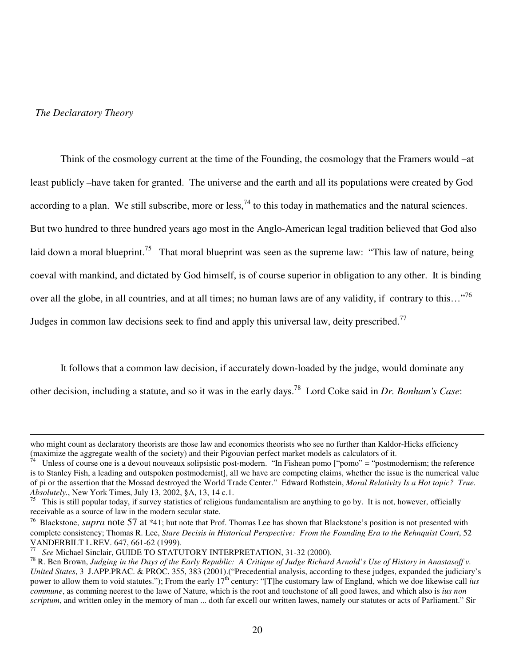### *The Declaratory Theory*

Think of the cosmology current at the time of the Founding, the cosmology that the Framers would –at least publicly –have taken for granted. The universe and the earth and all its populations were created by God according to a plan. We still subscribe, more or less,  $^{74}$  to this today in mathematics and the natural sciences. But two hundred to three hundred years ago most in the Anglo-American legal tradition believed that God also laid down a moral blueprint.<sup>75</sup> That moral blueprint was seen as the supreme law: "This law of nature, being coeval with mankind, and dictated by God himself, is of course superior in obligation to any other. It is binding over all the globe, in all countries, and at all times; no human laws are of any validity, if contrary to this..."<sup>76</sup> Judges in common law decisions seek to find and apply this universal law, deity prescribed.<sup>77</sup>

It follows that a common law decision, if accurately down-loaded by the judge, would dominate any other decision, including a statute, and so it was in the early days. 78 Lord Coke said in *Dr. Bonham's Case*:

who might count as declaratory theorists are those law and economics theorists who see no further than Kaldor-Hicks efficiency (maximize the aggregate wealth of the society) and their Pigouvian perfect market models as calculators of it.

Unless of course one is a devout nouveaux solipsistic post-modern. "In Fishean pomo ["pomo" = "postmodernism; the reference is to Stanley Fish, a leading and outspoken postmodernist], all we have are competing claims, whether the issue is the numerical value of pi or the assertion that the Mossad destroyed the World Trade Center." Edward Rothstein, *Moral Relativity Is a Hot topic? True. Absolutely.*, New York Times, July 13, 2002, §A, 13, 14 c.1.

<sup>75</sup> This is still popular today, if survey statistics of religious fundamentalism are anything to go by. It is not, however, officially receivable as a source of law in the modern secular state.

<sup>&</sup>lt;sup>76</sup> Blackstone, *supra* note 57 at \*41; but note that Prof. Thomas Lee has shown that Blackstone's position is not presented with complete consistency; Thomas R. Lee, *Stare Decisis in Historical Perspective: From the Founding Era to the Rehnquist Court*, 52 VANDERBILT L.REV. 647, 661-62 (1999).

<sup>77</sup> *See* Michael Sinclair, GUIDE TO STATUTORY INTERPRETATION, 31-32 (2000).

<sup>&</sup>lt;sup>78</sup> R. Ben Brown, Judging in the Days of the Early Republic: A Critique of Judge Richard Arnold's Use of History in Anastasoff v. *United States*, 3 J.APP.PRAC. & PROC. 355, 383 (2001).("Precedential analysis, according to these judges, expanded the judiciary's power to allow them to void statutes."); From the early 17<sup>th</sup> century: "[T]he customary law of England, which we doe likewise call *ius commune*, as comming neerest to the lawe of Nature, which is the root and touchstone of all good lawes, and which also is *ius non scriptum*, and written onley in the memory of man ... doth far excell our written lawes, namely our statutes or acts of Parliament." Sir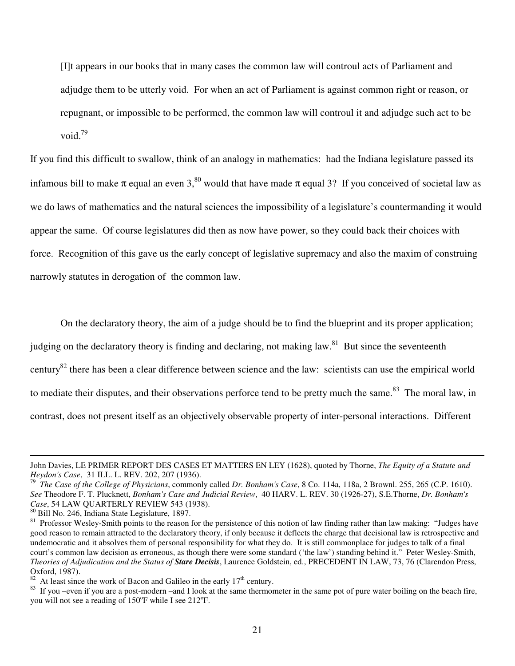[I]t appears in our books that in many cases the common law will controul acts of Parliament and adjudge them to be utterly void. For when an act of Parliament is against common right or reason, or repugnant, or impossible to be performed, the common law will controul it and adjudge such act to be void. 79

If you find this difficult to swallow, think of an analogy in mathematics: had the Indiana legislature passed its infamous bill to make  $\pi$  equal an even 3,<sup>80</sup> would that have made  $\pi$  equal 3? If you conceived of societal law as we do laws of mathematics and the natural sciences the impossibility of a legislature's countermanding it would appear the same. Of course legislatures did then as now have power, so they could back their choices with force. Recognition of this gave us the early concept of legislative supremacy and also the maxim of construing narrowly statutes in derogation of the common law.

On the declaratory theory, the aim of a judge should be to find the blueprint and its proper application;

judging on the declaratory theory is finding and declaring, not making law.<sup>81</sup> But since the seventeenth

century<sup>82</sup> there has been a clear difference between science and the law: scientists can use the empirical world

to mediate their disputes, and their observations perforce tend to be pretty much the same.<sup>83</sup> The moral law, in

contrast, does not present itself as an objectively observable property of inter-personal interactions. Different

John Davies, LE PRIMER REPORT DES CASES ET MATTERS EN LEY (1628), quoted by Thorne, *The Equity of a Statute and Heydon's Case*, 31 ILL. L. REV. 202, 207 (1936).

<sup>79</sup> *The Case of the College of Physicians*, commonly called *Dr. Bonham's Case*, 8 Co. 114a, 118a, 2 Brownl. 255, 265 (C.P. 1610). *See* Theodore F. T. Plucknett, *Bonham's Case and Judicial Review*, 40 HARV. L. REV. 30 (1926-27), S.E.Thorne, *Dr. Bonham's Case*, 54 LAW QUARTERLY REVIEW 543 (1938).

<sup>80</sup> Bill No. 246, Indiana State Legislature, 1897.

<sup>&</sup>lt;sup>81</sup> Professor Wesley-Smith points to the reason for the persistence of this notion of law finding rather than law making: "Judges have good reason to remain attracted to the declaratory theory, if only because it deflects the charge that decisional law is retrospective and undemocratic and it absolves them of personal responsibility for what they do. It is still commonplace for judges to talk of a final court's common law decision as erroneous, as though there were some standard ('the law') standing behind it." Peter Wesley-Smith, *Theories of Adjudication and the Status of Stare Decisis*, Laurence Goldstein, ed., PRECEDENT IN LAW, 73, 76 (Clarendon Press, Oxford, 1987).

 $82$  At least since the work of Bacon and Galileo in the early  $17<sup>th</sup>$  century.

<sup>83</sup> If you –even if you are a post-modern –and I look at the same thermometer in the same pot of pure water boiling on the beach fire, you will not see a reading of 150°F while I see 212°F.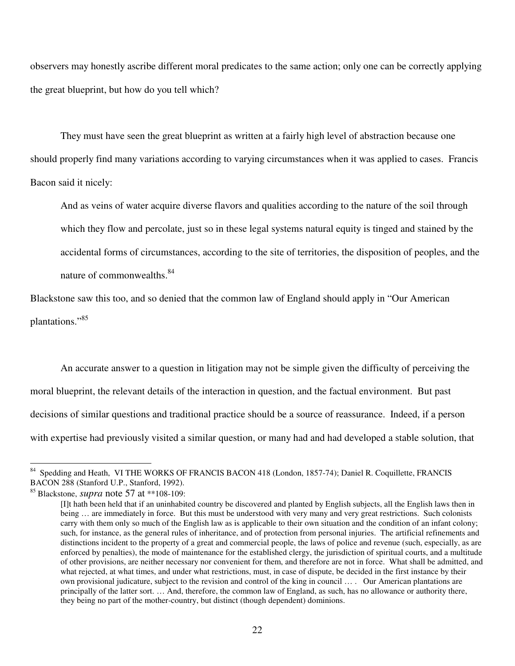observers may honestly ascribe different moral predicates to the same action; only one can be correctly applying the great blueprint, but how do you tell which?

They must have seen the great blueprint as written at a fairly high level of abstraction because one should properly find many variations according to varying circumstances when it was applied to cases. Francis Bacon said it nicely:

And as veins of water acquire diverse flavors and qualities according to the nature of the soil through which they flow and percolate, just so in these legal systems natural equity is tinged and stained by the accidental forms of circumstances, according to the site of territories, the disposition of peoples, and the nature of commonwealths.<sup>84</sup>

Blackstone saw this too, and so denied that the common law of England should apply in "Our American plantations."85

An accurate answer to a question in litigation may not be simple given the difficulty of perceiving the moral blueprint, the relevant details of the interaction in question, and the factual environment. But past decisions of similar questions and traditional practice should be a source of reassurance. Indeed, if a person with expertise had previously visited a similar question, or many had and had developed a stable solution, that

<sup>&</sup>lt;sup>84</sup> Spedding and Heath, VI THE WORKS OF FRANCIS BACON 418 (London, 1857-74); Daniel R. Coquillette, FRANCIS BACON 288 (Stanford U.P., Stanford, 1992).

<sup>85</sup> Blackstone, *supra* note 57 at \*\*108-109:

<sup>[</sup>I]t hath been held that if an uninhabited country be discovered and planted by English subjects, all the English laws then in being ... are immediately in force. But this must be understood with very many and very great restrictions. Such colonists carry with them only so much of the English law as is applicable to their own situation and the condition of an infant colony; such, for instance, as the general rules of inheritance, and of protection from personal injuries. The artificial refinements and distinctions incident to the property of a great and commercial people, the laws of police and revenue (such, especially, as are enforced by penalties), the mode of maintenance for the established clergy, the jurisdiction of spiritual courts, and a multitude of other provisions, are neither necessary nor convenient for them, and therefore are not in force. What shall be admitted, and what rejected, at what times, and under what restrictions, must, in case of dispute, be decided in the first instance by their own provisional judicature, subject to the revision and control of the king in council … . Our American plantations are principally of the latter sort. … And, therefore, the common law of England, as such, has no allowance or authority there, they being no part of the mother-country, but distinct (though dependent) dominions.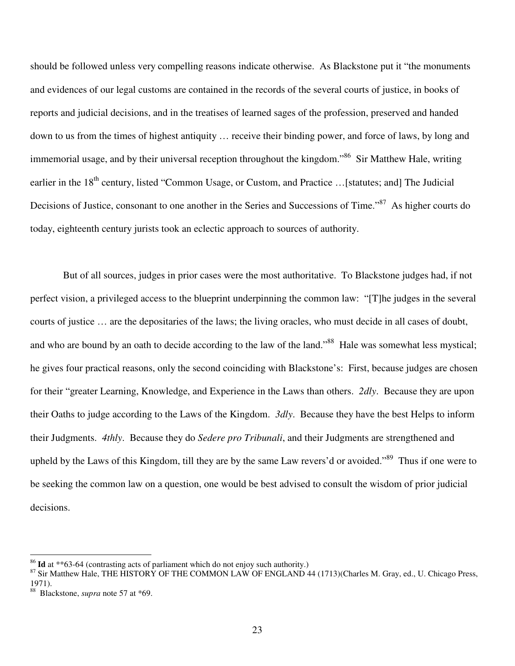should be followed unless very compelling reasons indicate otherwise. As Blackstone put it "the monuments and evidences of our legal customs are contained in the records of the several courts of justice, in books of reports and judicial decisions, and in the treatises of learned sages of the profession, preserved and handed down to us from the times of highest antiquity … receive their binding power, and force of laws, by long and immemorial usage, and by their universal reception throughout the kingdom."<sup>86</sup> Sir Matthew Hale, writing earlier in the 18<sup>th</sup> century, listed "Common Usage, or Custom, and Practice ...[statutes; and] The Judicial Decisions of Justice, consonant to one another in the Series and Successions of Time."<sup>87</sup> As higher courts do today, eighteenth century jurists took an eclectic approach to sources of authority.

But of all sources, judges in prior cases were the most authoritative. To Blackstone judges had, if not perfect vision, a privileged access to the blueprint underpinning the common law: "[T]he judges in the several courts of justice … are the depositaries of the laws; the living oracles, who must decide in all cases of doubt, and who are bound by an oath to decide according to the law of the land."<sup>88</sup> Hale was somewhat less mystical; he gives four practical reasons, only the second coinciding with Blackstone's: First, because judges are chosen for their "greater Learning, Knowledge, and Experience in the Laws than others. *2dly*. Because they are upon their Oaths to judge according to the Laws of the Kingdom. *3dly*. Because they have the best Helps to inform their Judgments. *4thly*. Because they do *Sedere pro Tribunali*, and their Judgments are strengthened and upheld by the Laws of this Kingdom, till they are by the same Law revers'd or avoided."<sup>89</sup> Thus if one were to be seeking the common law on a question, one would be best advised to consult the wisdom of prior judicial decisions.

<sup>86</sup> **Id** at \*\*63-64 (contrasting acts of parliament which do not enjoy such authority.)

<sup>&</sup>lt;sup>87</sup> Sir Matthew Hale, THE HISTORY OF THE COMMON LAW OF ENGLAND 44 (1713)(Charles M. Gray, ed., U. Chicago Press, 1971).

<sup>88</sup> Blackstone, *supra* note 57 at \*69.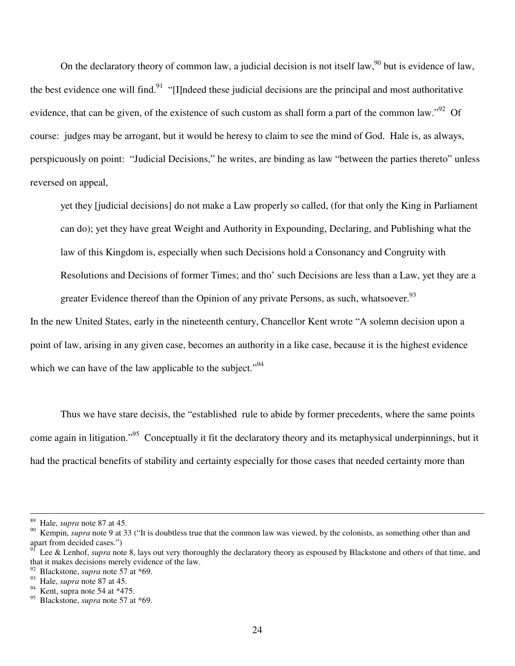On the declaratory theory of common law, a judicial decision is not itself law,  $90$  but is evidence of law, the best evidence one will find.<sup>91</sup> "[I]ndeed these judicial decisions are the principal and most authoritative evidence, that can be given, of the existence of such custom as shall form a part of the common law."<sup>92</sup> Of course: judges may be arrogant, but it would be heresy to claim to see the mind of God. Hale is, as always, perspicuously on point: "Judicial Decisions," he writes, are binding as law "between the parties thereto" unless reversed on appeal,

yet they [judicial decisions] do not make a Law properly so called, (for that only the King in Parliament can do); yet they have great Weight and Authority in Expounding, Declaring, and Publishing what the law of this Kingdom is, especially when such Decisions hold a Consonancy and Congruity with Resolutions and Decisions of former Times; and tho' such Decisions are less than a Law, yet they are a greater Evidence thereof than the Opinion of any private Persons, as such, whatsoever.<sup>93</sup>

In the new United States, early in the nineteenth century, Chancellor Kent wrote "A solemn decision upon a point of law, arising in any given case, becomes an authority in a like case, because it is the highest evidence which we can have of the law applicable to the subject."<sup>94</sup>

Thus we have stare decisis, the "established rule to abide by former precedents, where the same points come again in litigation."<sup>95</sup> Conceptually it fit the declaratory theory and its metaphysical underpinnings, but it had the practical benefits of stability and certainty especially for those cases that needed certainty more than

<sup>89</sup> Hale, *supra* note 87 at 45.

Kempin, *supra* note 9 at 33 ("It is doubtless true that the common law was viewed, by the colonists, as something other than and apart from decided cases.")

Lee & Lenhof, *supra* note 8, lays out very thoroughly the declaratory theory as espoused by Blackstone and others of that time, and that it makes decisions merely evidence of the law.

<sup>92</sup> Blackstone, *supra* note 57 at \*69.

 $^{93}$  Hale, *supra* note 87 at 45.<br><sup>94</sup> Kent, supra note 54 at \*47.

<sup>&</sup>lt;sup>94</sup> Kent, supra note 54 at  $*475$ .<br><sup>95</sup> Blackstone, *supra* note 57 at

<sup>95</sup> Blackstone, *supra* note 57 at \*69.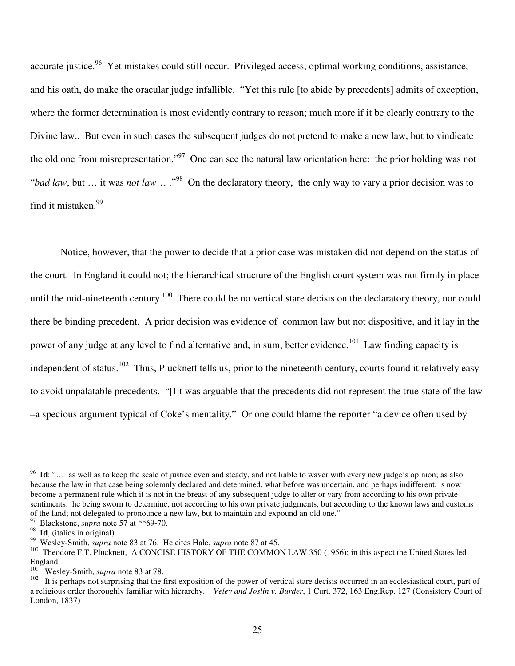accurate justice.<sup>96</sup> Yet mistakes could still occur. Privileged access, optimal working conditions, assistance, and his oath, do make the oracular judge infallible. "Yet this rule [to abide by precedents] admits of exception, where the former determination is most evidently contrary to reason; much more if it be clearly contrary to the Divine law.. But even in such cases the subsequent judges do not pretend to make a new law, but to vindicate the old one from misrepresentation."<sup>97</sup> One can see the natural law orientation here: the prior holding was not "*bad law*, but ... it was *not law*... ."<sup>98</sup> On the declaratory theory, the only way to vary a prior decision was to find it mistaken. 99

Notice, however, that the power to decide that a prior case was mistaken did not depend on the status of the court. In England it could not; the hierarchical structure of the English court system was not firmly in place until the mid-nineteenth century.<sup>100</sup> There could be no vertical stare decisis on the declaratory theory, nor could there be binding precedent. A prior decision was evidence of common law but not dispositive, and it lay in the power of any judge at any level to find alternative and, in sum, better evidence.<sup>101</sup> Law finding capacity is independent of status.<sup>102</sup> Thus, Plucknett tells us, prior to the nineteenth century, courts found it relatively easy to avoid unpalatable precedents. "[I]t was arguable that the precedents did not represent the true state of the law –a specious argument typical of Coke's mentality." Or one could blame the reporter "a device often used by

<sup>&</sup>lt;sup>96</sup> Id: "... as well as to keep the scale of justice even and steady, and not liable to waver with every new judge's opinion; as also because the law in that case being solemnly declared and determined, what before was uncertain, and perhaps indifferent, is now become a permanent rule which it is not in the breast of any subsequent judge to alter or vary from according to his own private sentiments: he being sworn to determine, not according to his own private judgments, but according to the known laws and customs of the land; not delegated to pronounce a new law, but to maintain and expound an old one."

Blackstone, *supra* note 57 at \*\*69-70.

<sup>&</sup>lt;sup>98</sup> **Id**, (italics in original).

<sup>99</sup> Wesley-Smith, *supra* note 83 at 76. He cites Hale, *supra* note 87 at 45.

<sup>&</sup>lt;sup>100</sup> Theodore F.T. Plucknett, A CONCISE HISTORY OF THE COMMON LAW 350 (1956); in this aspect the United States led England.<br> $W_{\text{20}}$ 

Wesley-Smith, *supra* note 83 at 78.

<sup>102</sup> It is perhaps not surprising that the first exposition of the power of vertical stare decisis occurred in an ecclesiastical court, part of a religious order thoroughly familiar with hierarchy. *Veley and Joslin v. Burder*, 1 Curt. 372, 163 Eng.Rep. 127 (Consistory Court of London, 1837)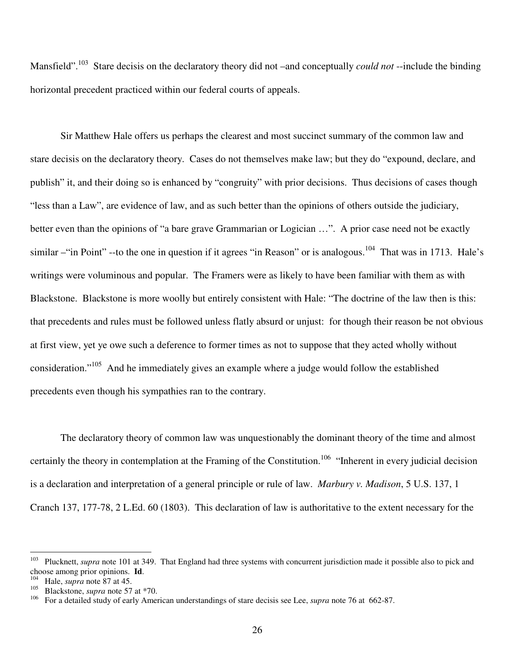Mansfield".<sup>103</sup> Stare decisis on the declaratory theory did not –and conceptually *could not* --include the binding horizontal precedent practiced within our federal courts of appeals.

Sir Matthew Hale offers us perhaps the clearest and most succinct summary of the common law and stare decisis on the declaratory theory. Cases do not themselves make law; but they do "expound, declare, and publish" it, and their doing so is enhanced by "congruity" with prior decisions. Thus decisions of cases though "less than a Law", are evidence of law, and as such better than the opinions of others outside the judiciary, better even than the opinions of "a bare grave Grammarian or Logician …". A prior case need not be exactly similar – "in Point" --to the one in question if it agrees "in Reason" or is analogous.<sup>104</sup> That was in 1713. Hale's writings were voluminous and popular. The Framers were as likely to have been familiar with them as with Blackstone. Blackstone is more woolly but entirely consistent with Hale: "The doctrine of the law then is this: that precedents and rules must be followed unless flatly absurd or unjust: for though their reason be not obvious at first view, yet ye owe such a deference to former times as not to suppose that they acted wholly without consideration."<sup>105</sup> And he immediately gives an example where a judge would follow the established precedents even though his sympathies ran to the contrary.

The declaratory theory of common law was unquestionably the dominant theory of the time and almost certainly the theory in contemplation at the Framing of the Constitution.<sup>106</sup> "Inherent in every judicial decision is a declaration and interpretation of a general principle or rule of law. *Marbury v. Madison*, 5 U.S. 137, 1 Cranch 137, 177-78, 2 L.Ed. 60 (1803). This declaration of law is authoritative to the extent necessary for the

<sup>&</sup>lt;sup>103</sup> Plucknett, *supra* note 101 at 349. That England had three systems with concurrent jurisdiction made it possible also to pick and choose among prior opinions. **Id**.

<sup>104</sup> Hale, *supra* note 87 at 45.

<sup>105</sup> Blackstone, *supra* note 57 at \*70.

<sup>106</sup> For a detailed study of early American understandings of stare decisis see Lee, *supra* note 76 at 662-87.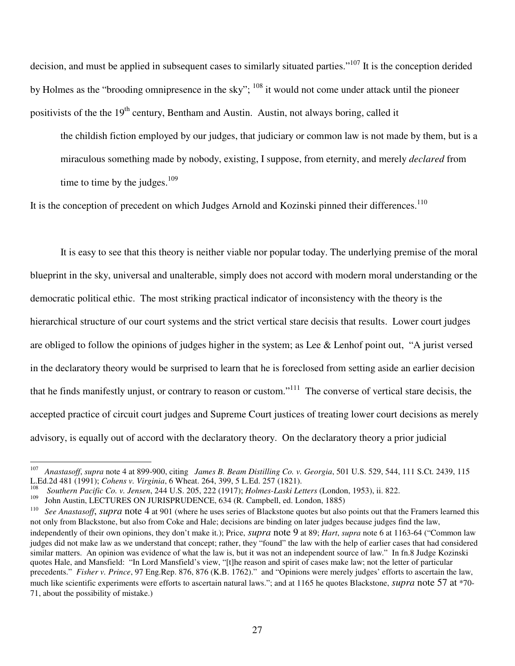decision, and must be applied in subsequent cases to similarly situated parties."<sup>107</sup> It is the conception derided by Holmes as the "brooding omnipresence in the sky"; <sup>108</sup> it would not come under attack until the pioneer positivists of the the 19<sup>th</sup> century, Bentham and Austin. Austin, not always boring, called it

the childish fiction employed by our judges, that judiciary or common law is not made by them, but is a miraculous something made by nobody, existing, I suppose, from eternity, and merely *declared* from time to time by the judges. $109$ 

It is the conception of precedent on which Judges Arnold and Kozinski pinned their differences.<sup>110</sup>

It is easy to see that this theory is neither viable nor popular today. The underlying premise of the moral blueprint in the sky, universal and unalterable, simply does not accord with modern moral understanding or the democratic political ethic. The most striking practical indicator of inconsistency with the theory is the hierarchical structure of our court systems and the strict vertical stare decisis that results. Lower court judges are obliged to follow the opinions of judges higher in the system; as Lee & Lenhof point out, "A jurist versed in the declaratory theory would be surprised to learn that he is foreclosed from setting aside an earlier decision that he finds manifestly unjust, or contrary to reason or custom."<sup>111</sup> The converse of vertical stare decisis, the accepted practice of circuit court judges and Supreme Court justices of treating lower court decisions as merely advisory, is equally out of accord with the declaratory theory. On the declaratory theory a prior judicial

<sup>107</sup> *Anastasoff*, *supra* note 4 at 899-900, citing *James B. Beam Distilling Co. v. Georgia*, 501 U.S. 529, 544, 111 S.Ct. 2439, 115 L.Ed.2d 481 (1991); *Cohens v. Virginia*, 6 Wheat. 264, 399, 5 L.Ed. 257 (1821).

<sup>108</sup> *Southern Pacific Co. v. Jensen*, 244 U.S. 205, 222 (1917); *Holmes-Laski Letters* (London, 1953), ii. 822.

<sup>109</sup> John Austin, LECTURES ON JURISPRUDENCE, 634 (R. Campbell, ed. London, 1885)

<sup>110</sup> *See Anastasoff*, *supra* note 4 at 901 (where he uses series of Blackstone quotes but also points out that the Framers learned this not only from Blackstone, but also from Coke and Hale; decisions are binding on later judges because judges find the law, independently of their own opinions, they don't make it.); Price, *supra* note 9 at 89; *Hart*, *supra* note 6 at 1163-64 ("Common law judges did not make law as we understand that concept; rather, they "found" the law with the help of earlier cases that had considered similar matters. An opinion was evidence of what the law is, but it was not an independent source of law." In fn.8 Judge Kozinski quotes Hale, and Mansfield: "In Lord Mansfield's view, "[t]he reason and spirit of cases make law; not the letter of particular precedents." *Fisher v. Prince*, 97 Eng.Rep. 876, 876 (K.B. 1762)." and "Opinions were merely judges' efforts to ascertain the law, much like scientific experiments were efforts to ascertain natural laws."; and at 1165 he quotes Blackstone, *supra* note 57 at \*70- 71, about the possibility of mistake.)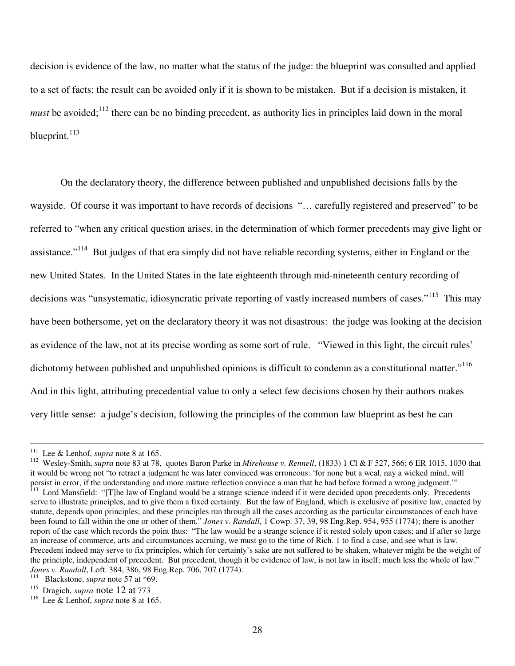decision is evidence of the law, no matter what the status of the judge: the blueprint was consulted and applied to a set of facts; the result can be avoided only if it is shown to be mistaken. But if a decision is mistaken, it *must* be avoided;<sup>112</sup> there can be no binding precedent, as authority lies in principles laid down in the moral blueprint.<sup>113</sup>

On the declaratory theory, the difference between published and unpublished decisions falls by the wayside. Of course it was important to have records of decisions "… carefully registered and preserved" to be referred to "when any critical question arises, in the determination of which former precedents may give light or assistance."<sup>114</sup> But judges of that era simply did not have reliable recording systems, either in England or the new United States. In the United States in the late eighteenth through mid-nineteenth century recording of decisions was "unsystematic, idiosyncratic private reporting of vastly increased numbers of cases."<sup>115</sup> This may have been bothersome, yet on the declaratory theory it was not disastrous: the judge was looking at the decision as evidence of the law, not at its precise wording as some sort of rule. "Viewed in this light, the circuit rules' dichotomy between published and unpublished opinions is difficult to condemn as a constitutional matter."<sup>116</sup> And in this light, attributing precedential value to only a select few decisions chosen by their authors makes very little sense: a judge's decision, following the principles of the common law blueprint as best he can

<sup>111</sup> Lee & Lenhof, *supra* note 8 at 165.

<sup>112</sup> Wesley-Smith, *supra* note 83 at 78, quotes Baron Parke in *Mirehouse v. Rennell*, (1833) 1 Cl & F 527, 566; 6 ER 1015, 1030 that it would be wrong not "to retract a judgment he was later convinced was erroneous: 'for none but a weal, nay a wicked mind, will persist in error, if the understanding and more mature reflection convince a man that he had before formed a wrong judgment.'" <sup>113</sup> Lord Mansfield: "[T]he law of England would be a strange science indeed if it were decided upon precedents only. Precedents serve to illustrate principles, and to give them a fixed certainty. But the law of England, which is exclusive of positive law, enacted by statute, depends upon principles; and these principles run through all the cases according as the particular circumstances of each have been found to fall within the one or other of them." *Jones v. Randall*, 1 Cowp. 37, 39, 98 Eng.Rep. 954, 955 (1774); there is another report of the case which records the point thus: "The law would be a strange science if it rested solely upon cases; and if after so large an increase of commerce, arts and circumstances accruing, we must go to the time of Rich. 1 to find a case, and see what is law. Precedent indeed may serve to fix principles, which for certainty's sake are not suffered to be shaken, whatever might be the weight of the principle, independent of precedent. But precedent, though it be evidence of law, is not law in itself; much less the whole of law."

*Jones v. Randall*, Loft. 384, 386, 98 Eng.Rep. 706, 707 (1774).

<sup>114</sup> Blackstone, *supra* note 57 at \*69.

<sup>115</sup> Dragich, *supra* note 12 at 773

<sup>116</sup> Lee & Lenhof, *supra* note 8 at 165.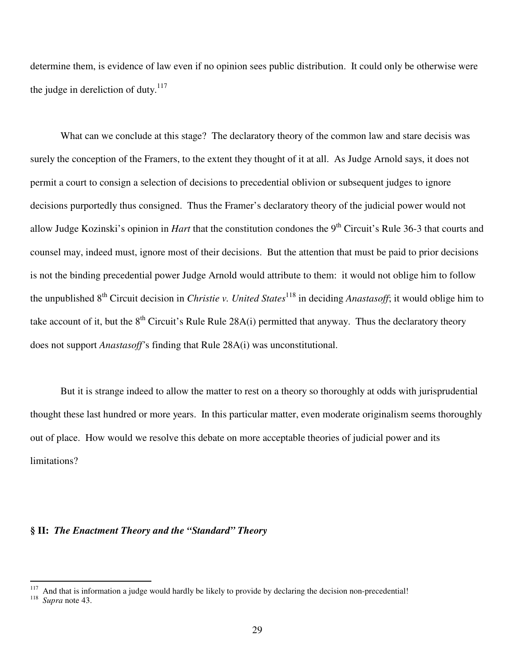determine them, is evidence of law even if no opinion sees public distribution. It could only be otherwise were the judge in dereliction of duty. $117$ 

What can we conclude at this stage? The declaratory theory of the common law and stare decisis was surely the conception of the Framers, to the extent they thought of it at all. As Judge Arnold says, it does not permit a court to consign a selection of decisions to precedential oblivion or subsequent judges to ignore decisions purportedly thus consigned. Thus the Framer's declaratory theory of the judicial power would not allow Judge Kozinski's opinion in *Hart* that the constitution condones the 9<sup>th</sup> Circuit's Rule 36-3 that courts and counsel may, indeed must, ignore most of their decisions. But the attention that must be paid to prior decisions is not the binding precedential power Judge Arnold would attribute to them: it would not oblige him to follow the unpublished 8<sup>th</sup> Circuit decision in *Christie v. United States*<sup>118</sup> in deciding *Anastasoff*; it would oblige him to take account of it, but the  $8<sup>th</sup>$  Circuit's Rule Rule 28A(i) permitted that anyway. Thus the declaratory theory does not support *Anastasoff'*s finding that Rule 28A(i) was unconstitutional.

But it is strange indeed to allow the matter to rest on a theory so thoroughly at odds with jurisprudential thought these last hundred or more years. In this particular matter, even moderate originalism seems thoroughly out of place. How would we resolve this debate on more acceptable theories of judicial power and its limitations?

#### **§ II:** *The Enactment Theory and the "Standard" Theory*

And that is information a judge would hardly be likely to provide by declaring the decision non-precedential! 118 *Supra* note 43.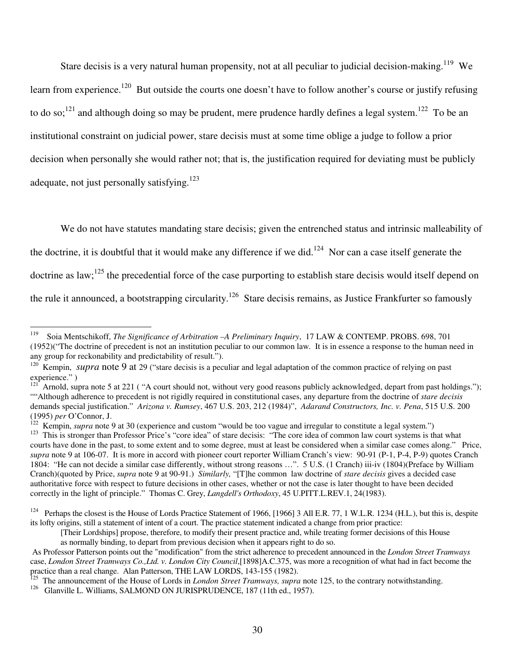Stare decisis is a very natural human propensity, not at all peculiar to judicial decision-making.<sup>119</sup> We learn from experience.<sup>120</sup> But outside the courts one doesn't have to follow another's course or justify refusing to do so;<sup>121</sup> and although doing so may be prudent, mere prudence hardly defines a legal system.<sup>122</sup> To be an institutional constraint on judicial power, stare decisis must at some time oblige a judge to follow a prior decision when personally she would rather not; that is, the justification required for deviating must be publicly adequate, not just personally satisfying.<sup>123</sup>

We do not have statutes mandating stare decisis; given the entrenched status and intrinsic malleability of the doctrine, it is doubtful that it would make any difference if we did.<sup>124</sup> Nor can a case itself generate the doctrine as law;<sup>125</sup> the precedential force of the case purporting to establish stare decisis would itself depend on the rule it announced, a bootstrapping circularity.<sup>126</sup> Stare decisis remains, as Justice Frankfurter so famously

<sup>122</sup> Kempin, *supra* note 9 at 30 (experience and custom "would be too vague and irregular to constitute a legal system.")

<sup>119</sup> Soia Mentschikoff, *The Significance of Arbitration –A Preliminary Inquiry*, 17 LAW & CONTEMP. PROBS. 698, 701 (1952)("The doctrine of precedent is not an institution peculiar to our common law. It is in essence a response to the human need in any group for reckonability and predictability of result.").

<sup>&</sup>lt;sup>120</sup> Kempin, *supra* note 9 at 29 ("stare decisis is a peculiar and legal adaptation of the common practice of relying on past experience." )

 $121^7$  Arnold, supra note 5 at 221 ("A court should not, without very good reasons publicly acknowledged, depart from past holdings."); ""Although adherence to precedent is not rigidly required in constitutional cases, any departure from the doctrine of *stare decisis* demands special justification." *Arizona v. Rumsey*, 467 U.S. 203, 212 (1984)", *Adarand Constructors, Inc. v. Pena*, 515 U.S. 200 (1995) *per* O'Connor, J.

<sup>&</sup>lt;sup>123</sup> This is stronger than Professor Price's "core idea" of stare decisis: "The core idea of common law court systems is that what courts have done in the past, to some extent and to some degree, must at least be considered when a similar case comes along." Price, *supra* note 9 at 106-07. It is more in accord with pioneer court reporter William Cranch's view: 90-91 (P-1, P-4, P-9) quotes Cranch 1804: "He can not decide a similar case differently, without strong reasons …". 5 U.S. (1 Cranch) iii-iv (1804)(Preface by William Cranch)(quoted by Price, *supra* note 9 at 90-91.) *Similarly,* "[T]he common law doctrine of *stare decisis* gives a decided case authoritative force with respect to future decisions in other cases, whether or not the case is later thought to have been decided correctly in the light of principle." Thomas C. Grey, *Langdell's Orthodoxy*, 45 U.PITT.L.REV.1, 24(1983).

<sup>&</sup>lt;sup>124</sup> Perhaps the closest is the House of Lords Practice Statement of 1966, [1966] 3 All E.R. 77, 1 W.L.R. 1234 (H.L.), but this is, despite its lofty origins, still a statement of intent of a court. The practice statement indicated a change from prior practice:

<sup>[</sup>Their Lordships] propose, therefore, to modify their present practice and, while treating former decisions of this House as normally binding, to depart from previous decision when it appears right to do so.

As Professor Patterson points out the "modification" from the strict adherence to precedent announced in the *London Street Tramways* case, *London Street Tramways Co.,Ltd. v. London City Council*,[1898]A.C.375, was more a recognition of what had in fact become the practice than a real change. Alan Patterson, THE LAW LORDS, 143-155 (1982).

<sup>125</sup> The announcement of the House of Lords in *London Street Tramways, supra* note 125, to the contrary notwithstanding.

<sup>&</sup>lt;sup>126</sup> Glanville L. Williams, SALMOND ON JURISPRUDENCE, 187 (11th ed., 1957).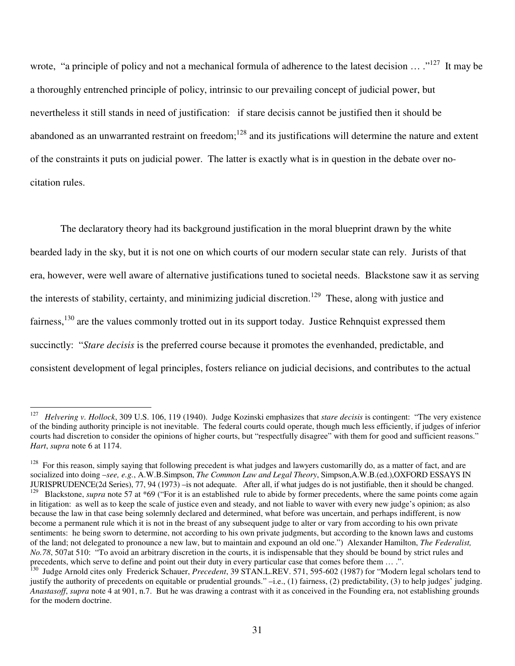wrote, "a principle of policy and not a mechanical formula of adherence to the latest decision ... ."<sup>127</sup> It may be a thoroughly entrenched principle of policy, intrinsic to our prevailing concept of judicial power, but nevertheless it still stands in need of justification: if stare decisis cannot be justified then it should be abandoned as an unwarranted restraint on freedom;<sup>128</sup> and its justifications will determine the nature and extent of the constraints it puts on judicial power. The latter is exactly what is in question in the debate over nocitation rules.

The declaratory theory had its background justification in the moral blueprint drawn by the white bearded lady in the sky, but it is not one on which courts of our modern secular state can rely. Jurists of that era, however, were well aware of alternative justifications tuned to societal needs. Blackstone saw it as serving the interests of stability, certainty, and minimizing judicial discretion.<sup>129</sup> These, along with justice and fairness,<sup>130</sup> are the values commonly trotted out in its support today. Justice Rehnquist expressed them succinctly: "*Stare decisis* is the preferred course because it promotes the evenhanded, predictable, and consistent development of legal principles, fosters reliance on judicial decisions, and contributes to the actual

<sup>127</sup> *Helvering v. Hollock*, 309 U.S. 106, 119 (1940). Judge Kozinski emphasizes that *stare decisis* is contingent: "The very existence of the binding authority principle is not inevitable. The federal courts could operate, though much less efficiently, if judges of inferior courts had discretion to consider the opinions of higher courts, but "respectfully disagree" with them for good and sufficient reasons." *Hart*, *supra* note 6 at 1174.

<sup>128</sup> For this reason, simply saying that following precedent is what judges and lawyers customarilly do, as a matter of fact, and are socialized into doing –*see, e.g.*, A.W.B.Simpson, *The Common Law and Legal Theory*, Simpson,A.W.B.(ed.),OXFORD ESSAYS IN JURISPRUDENCE(2d Series), 77, 94 (1973) –is not adequate. After all, if what judges do is not justifiable, then it should be changed.<br><sup>129</sup> Blackstone, *sunra* note 57 at \*69 ("For it is an established, rule to abide by fo <sup>129</sup> Blackstone, *supra* note 57 at \*69 ("For it is an established rule to abide by former precedents, where the same points come again in litigation: as well as to keep the scale of justice even and steady, and not liable to waver with every new judge's opinion; as also because the law in that case being solemnly declared and determined, what before was uncertain, and perhaps indifferent, is now become a permanent rule which it is not in the breast of any subsequent judge to alter or vary from according to his own private sentiments: he being sworn to determine, not according to his own private judgments, but according to the known laws and customs of the land; not delegated to pronounce a new law, but to maintain and expound an old one.") Alexander Hamilton, *The Federalist, No.78*, 507at 510: "To avoid an arbitrary discretion in the courts, it is indispensable that they should be bound by strict rules and precedents, which serve to define and point out their duty in every particular case that comes before them ....".

<sup>&</sup>lt;sup>130</sup> Judge Arnold cites only Frederick Schauer, *Precedent*, 39 STAN.L.REV. 571, 595-602 (1987) for "Modern legal scholars tend to justify the authority of precedents on equitable or prudential grounds." –i.e., (1) fairness, (2) predictability, (3) to help judges' judging. *Anastasoff*, *supra* note 4 at 901, n.7. But he was drawing a contrast with it as conceived in the Founding era, not establishing grounds for the modern doctrine.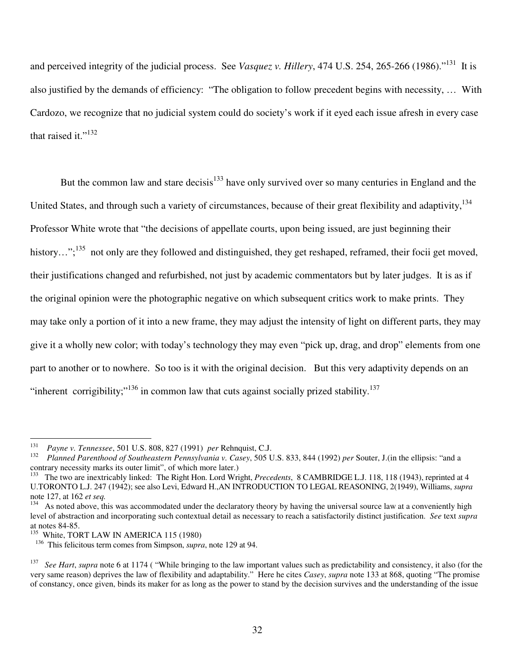and perceived integrity of the judicial process. See *Vasquez v. Hillery*, 474 U.S. 254, 265-266 (1986)."<sup>131</sup> It is also justified by the demands of efficiency: "The obligation to follow precedent begins with necessity, … With Cardozo, we recognize that no judicial system could do society's work if it eyed each issue afresh in every case that raised it." $^{132}$ 

But the common law and stare decisis<sup>133</sup> have only survived over so many centuries in England and the United States, and through such a variety of circumstances, because of their great flexibility and adaptivity, <sup>134</sup> Professor White wrote that "the decisions of appellate courts, upon being issued, are just beginning their history...";<sup>135</sup> not only are they followed and distinguished, they get reshaped, reframed, their focii get moved, their justifications changed and refurbished, not just by academic commentators but by later judges. It is as if the original opinion were the photographic negative on which subsequent critics work to make prints. They may take only a portion of it into a new frame, they may adjust the intensity of light on different parts, they may give it a wholly new color; with today's technology they may even "pick up, drag, and drop" elements from one part to another or to nowhere. So too is it with the original decision. But this very adaptivity depends on an "inherent corrigibility;"<sup>136</sup> in common law that cuts against socially prized stability.<sup>137</sup>

<sup>131</sup> *Payne v. Tennessee*, 501 U.S. 808, 827 (1991) *per* Rehnquist, C.J.

<sup>132</sup> *Planned Parenthood of Southeastern Pennsylvania v. Casey*, 505 U.S. 833, 844 (1992) *per* Souter, J.(in the ellipsis: "and a contrary necessity marks its outer limit", of which more later.)

<sup>133</sup> The two are inextricably linked: The Right Hon. Lord Wright, *Precedents*, 8 CAMBRIDGE L.J. 118, 118 (1943), reprinted at 4 U.TORONTO L.J. 247 (1942); see also Levi, Edward H.,AN INTRODUCTION TO LEGAL REASONING, 2(1949), Williams, *supra* note 127, at 162 *et seq.*

<sup>&</sup>lt;sup>134</sup> As noted above, this was accommodated under the declaratory theory by having the universal source law at a conveniently high level of abstraction and incorporating such contextual detail as necessary to reach a satisfactorily distinct justification. *See* text *supra* at notes 84-85.

<sup>&</sup>lt;sup>135</sup> White, TORT LAW IN AMERICA 115 (1980)

<sup>136</sup> This felicitous term comes from Simpson, *supra*, note 129 at 94.

<sup>137</sup> *See Hart*, *supra* note 6 at 1174 ( "While bringing to the law important values such as predictability and consistency, it also (for the very same reason) deprives the law of flexibility and adaptability." Here he cites *Casey*, *supra* note 133 at 868, quoting "The promise of constancy, once given, binds its maker for as long as the power to stand by the decision survives and the understanding of the issue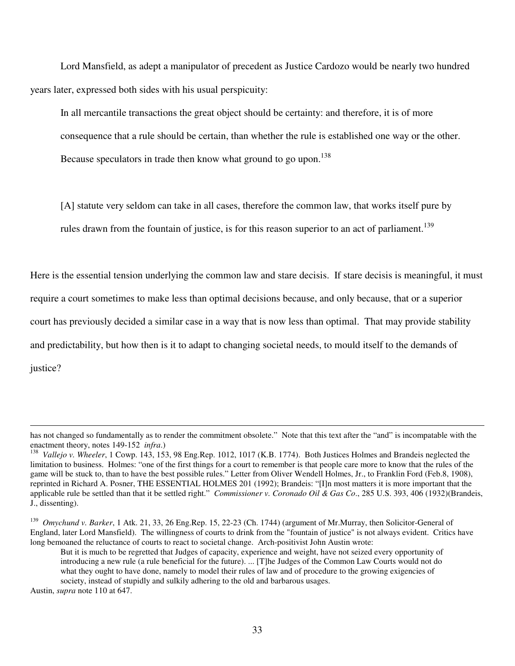Lord Mansfield, as adept a manipulator of precedent as Justice Cardozo would be nearly two hundred years later, expressed both sides with his usual perspicuity:

In all mercantile transactions the great object should be certainty: and therefore, it is of more consequence that a rule should be certain, than whether the rule is established one way or the other. Because speculators in trade then know what ground to go upon.<sup>138</sup>

[A] statute very seldom can take in all cases, therefore the common law, that works itself pure by rules drawn from the fountain of justice, is for this reason superior to an act of parliament.<sup>139</sup>

Here is the essential tension underlying the common law and stare decisis. If stare decisis is meaningful, it must require a court sometimes to make less than optimal decisions because, and only because, that or a superior court has previously decided a similar case in a way that is now less than optimal. That may provide stability and predictability, but how then is it to adapt to changing societal needs, to mould itself to the demands of justice?

Austin, *supra* note 110 at 647.

has not changed so fundamentally as to render the commitment obsolete." Note that this text after the "and" is incompatable with the enactment theory, notes 149-152 *infra*.)

<sup>138</sup> *Vallejo v. Wheeler*, 1 Cowp. 143, 153, 98 Eng.Rep. 1012, 1017 (K.B. 1774). Both Justices Holmes and Brandeis neglected the limitation to business. Holmes: "one of the first things for a court to remember is that people care more to know that the rules of the game will be stuck to, than to have the best possible rules." Letter from Oliver Wendell Holmes, Jr., to Franklin Ford (Feb.8, 1908), reprinted in Richard A. Posner, THE ESSENTIAL HOLMES 201 (1992); Brandeis: "[I]n most matters it is more important that the applicable rule be settled than that it be settled right." *Commissioner v. Coronado Oil & Gas Co*., 285 U.S. 393, 406 (1932)(Brandeis, J., dissenting).

<sup>139</sup> *Omychund v. Barker*, 1 Atk. 21, 33, 26 Eng.Rep. 15, 22-23 (Ch. 1744) (argument of Mr.Murray, then Solicitor-General of England, later Lord Mansfield). The willingness of courts to drink from the "fountain of justice" is not always evident. Critics have long bemoaned the reluctance of courts to react to societal change. Arch-positivist John Austin wrote:

But it is much to be regretted that Judges of capacity, experience and weight, have not seized every opportunity of introducing a new rule (a rule beneficial for the future). ... [T]he Judges of the Common Law Courts would not do what they ought to have done, namely to model their rules of law and of procedure to the growing exigencies of society, instead of stupidly and sulkily adhering to the old and barbarous usages.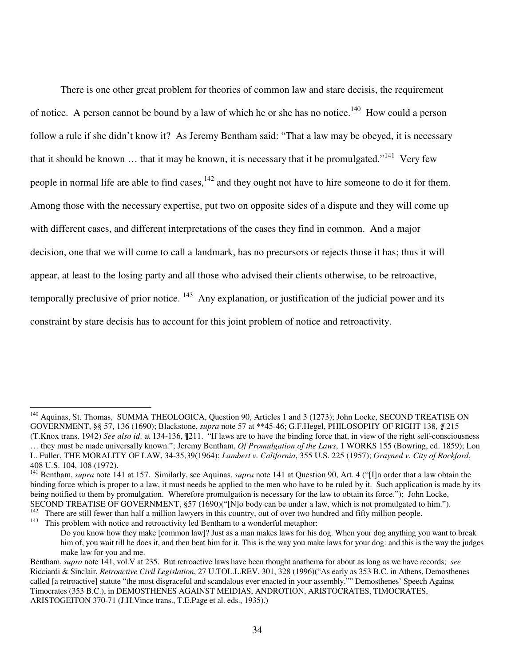There is one other great problem for theories of common law and stare decisis, the requirement of notice. A person cannot be bound by a law of which he or she has no notice.<sup>140</sup> How could a person follow a rule if she didn't know it? As Jeremy Bentham said: "That a law may be obeyed, it is necessary that it should be known ... that it may be known, it is necessary that it be promulgated."<sup>141</sup> Very few people in normal life are able to find cases, <sup>142</sup> and they ought not have to hire someone to do it for them. Among those with the necessary expertise, put two on opposite sides of a dispute and they will come up with different cases, and different interpretations of the cases they find in common. And a major decision, one that we will come to call a landmark, has no precursors or rejects those it has; thus it will appear, at least to the losing party and all those who advised their clients otherwise, to be retroactive, temporally preclusive of prior notice. <sup>143</sup> Any explanation, or justification of the judicial power and its constraint by stare decisis has to account for this joint problem of notice and retroactivity.

<sup>&</sup>lt;sup>140</sup> Aquinas, St. Thomas, SUMMA THEOLOGICA, Question 90, Articles 1 and 3 (1273); John Locke, SECOND TREATISE ON GOVERNMENT, §§ 57, 136 (1690); Blackstone, *supra* note 57 at \*\*45-46; G.F.Hegel, PHILOSOPHY OF RIGHT 138, *¶* 215 (T.Knox trans. 1942) *See also id*. at 134-136, ¶211. "If laws are to have the binding force that, in view of the right self-consciousness … they must be made universally known."; Jeremy Bentham, *Of Promulgation of the Laws*, 1 WORKS 155 (Bowring, ed. 1859); Lon L. Fuller, THE MORALITY OF LAW, 34-35,39(1964); *Lambert v. California*, 355 U.S. 225 (1957); *Grayned v. City of Rockford*, 408 U.S. 104, 108 (1972).

<sup>&</sup>lt;sup>141</sup> Bentham, *supra* note 141 at 157. Similarly, see Aquinas, *supra* note 141 at Question 90, Art. 4 ("[I]n order that a law obtain the binding force which is proper to a law, it must needs be applied to the men who have to be ruled by it. Such application is made by its being notified to them by promulgation. Wherefore promulgation is necessary for the law to obtain its force."); John Locke, SECOND TREATISE OF GOVERNMENT, §57 (1690)("[N]o body can be under a law, which is not promulgated to him.").<br><sup>142</sup> There are still fourar than half a million lawyers in this country, out of over two hundred and fifty milli

There are still fewer than half a million lawyers in this country, out of over two hundred and fifty million people.

<sup>&</sup>lt;sup>143</sup> This problem with notice and retroactivity led Bentham to a wonderful metaphor: Do you know how they make [common law]? Just as a man makes laws for his dog. When your dog anything you want to break him of, you wait till he does it, and then beat him for it. This is the way you make laws for your dog: and this is the way the judges make law for you and me.

Bentham, *supra* note 141, vol.V at 235. But retroactive laws have been thought anathema for about as long as we have records; *see* Ricciardi & Sinclair, *Retroactive Civil Legislation*, 27 U.TOL.L.REV. 301, 328 (1996)("As early as 353 B.C. in Athens, Demosthenes called [a retroactive] statute "the most disgraceful and scandalous ever enacted in your assembly."" Demosthenes' Speech Against Timocrates (353 B.C.), in DEMOSTHENES AGAINST MEIDIAS, ANDROTION, ARISTOCRATES, TIMOCRATES, ARISTOGEITON 370-71 (J.H.Vince trans., T.E.Page et al. eds., 1935).)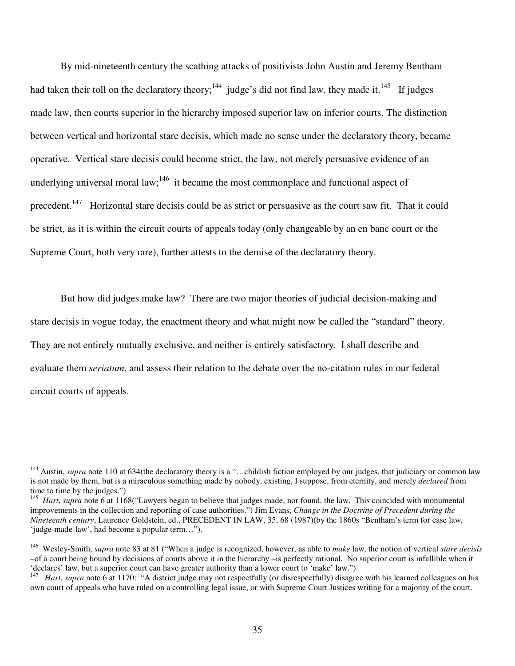By mid-nineteenth century the scathing attacks of positivists John Austin and Jeremy Bentham had taken their toll on the declaratory theory;<sup>144</sup> judge's did not find law, they made it.<sup>145</sup> If judges made law, then courts superior in the hierarchy imposed superior law on inferior courts. The distinction between vertical and horizontal stare decisis, which made no sense under the declaratory theory, became operative. Vertical stare decisis could become strict, the law, not merely persuasive evidence of an underlying universal moral law;  $146$  it became the most commonplace and functional aspect of precedent.<sup>147</sup> Horizontal stare decisis could be as strict or persuasive as the court saw fit. That it could be strict, as it is within the circuit courts of appeals today (only changeable by an en banc court or the Supreme Court, both very rare), further attests to the demise of the declaratory theory.

But how did judges make law? There are two major theories of judicial decision-making and stare decisis in vogue today, the enactment theory and what might now be called the "standard" theory. They are not entirely mutually exclusive, and neither is entirely satisfactory. I shall describe and evaluate them *seriatum*, and assess their relation to the debate over the no-citation rules in our federal circuit courts of appeals.

<sup>&</sup>lt;sup>144</sup> Austin, *supra* note 110 at 634(the declaratory theory is a "...childish fiction employed by our judges, that judiciary or common law is not made by them, but is a miraculous something made by nobody, existing, I suppose, from eternity, and merely *declared* from time to time by the judges.")

<sup>&</sup>lt;sup>145</sup> *Hart*, *supra* note 6 at 1168("Lawyers began to believe that judges made, nor found, the law. This coincided with monumental improvements in the collection and reporting of case authorities.") Jim Evans, *Change in the Doctrine of Precedent during the Nineteenth century*, Laurence Goldstein, ed., PRECEDENT IN LAW, 35, 68 (1987)(by the 1860s "Bentham's term for case law, 'judge-made-law', had become a popular term…").

<sup>146</sup> Wesley-Smith, *supra* note 83 at 81 ("When a judge is recognized, however, as able to *make* law, the notion of vertical *stare decisis* –of a court being bound by decisions of courts above it in the hierarchy –is perfectly rational. No superior court is infallible when it 'declares' law, but a superior court can have greater authority than a lower court to 'make' law.")

<sup>&</sup>lt;sup>147</sup> *Hart*, *supra* note 6 at 1170: "A district judge may not respectfully (or disrespectfully) disagree with his learned colleagues on his own court of appeals who have ruled on a controlling legal issue, or with Supreme Court Justices writing for a majority of the court.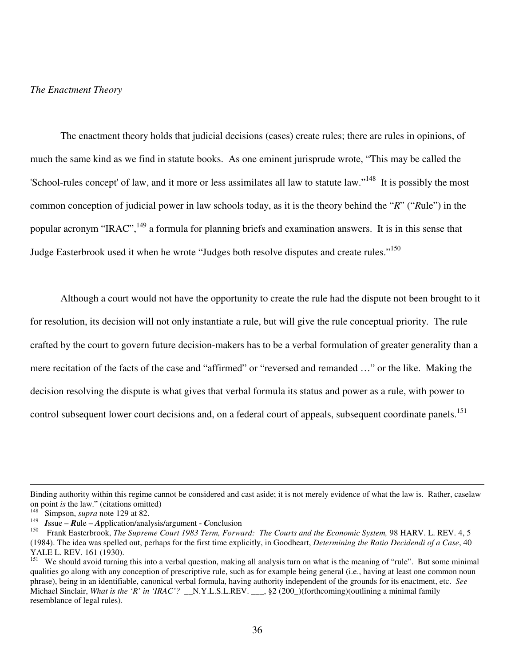### *The Enactment Theory*

The enactment theory holds that judicial decisions (cases) create rules; there are rules in opinions, of much the same kind as we find in statute books. As one eminent jurisprude wrote, "This may be called the 'School-rules concept' of law, and it more or less assimilates all law to statute law."<sup>148</sup> It is possibly the most common conception of judicial power in law schools today, as it is the theory behind the "*R*" ("*R*ule") in the popular acronym "IRAC", <sup>149</sup> a formula for planning briefs and examination answers. It is in this sense that Judge Easterbrook used it when he wrote "Judges both resolve disputes and create rules."<sup>150</sup>

Although a court would not have the opportunity to create the rule had the dispute not been brought to it for resolution, its decision will not only instantiate a rule, but will give the rule conceptual priority. The rule crafted by the court to govern future decision-makers has to be a verbal formulation of greater generality than a mere recitation of the facts of the case and "affirmed" or "reversed and remanded …" or the like. Making the decision resolving the dispute is what gives that verbal formula its status and power as a rule, with power to control subsequent lower court decisions and, on a federal court of appeals, subsequent coordinate panels.<sup>151</sup>

Binding authority within this regime cannot be considered and cast aside; it is not merely evidence of what the law is. Rather, caselaw on point *is* the law." (citations omitted)

<sup>148</sup> Simpson, *supra* note 129 at 82.

<sup>149</sup> *I*ssue – *R*ule – *A*pplication/analysis/argument - *C*onclusion

<sup>150</sup> Frank Easterbrook, *The Supreme Court 1983 Term, Forward: The Courts and the Economic System,* 98 HARV. L. REV. 4, 5 (1984). The idea was spelled out, perhaps for the first time explicitly, in Goodheart, *Determining the Ratio Decidendi of a Case*, 40 YALE L. REV. 161 (1930).

We should avoid turning this into a verbal question, making all analysis turn on what is the meaning of "rule". But some minimal qualities go along with any conception of prescriptive rule, such as for example being general (i.e., having at least one common noun phrase), being in an identifiable, canonical verbal formula, having authority independent of the grounds for its enactment, etc. *See* Michael Sinclair, *What is the 'R' in 'IRAC'?* \_\_N.Y.L.S.L.REV. \_\_\_, §2 (200\_)(forthcoming)(outlining a minimal family resemblance of legal rules).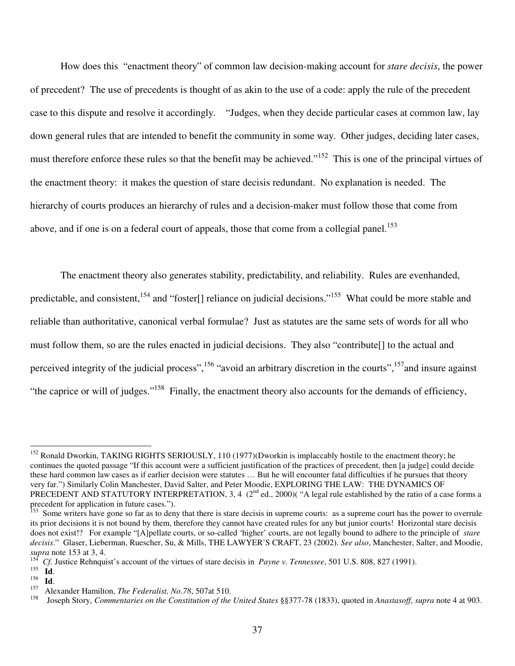How does this "enactment theory" of common law decision-making account for *stare decisis*, the power of precedent? The use of precedents is thought of as akin to the use of a code: apply the rule of the precedent case to this dispute and resolve it accordingly. "Judges, when they decide particular cases at common law, lay down general rules that are intended to benefit the community in some way. Other judges, deciding later cases, must therefore enforce these rules so that the benefit may be achieved."<sup>152</sup> This is one of the principal virtues of the enactment theory: it makes the question of stare decisis redundant. No explanation is needed. The hierarchy of courts produces an hierarchy of rules and a decision-maker must follow those that come from above, and if one is on a federal court of appeals, those that come from a collegial panel.<sup>153</sup>

The enactment theory also generates stability, predictability, and reliability. Rules are evenhanded, predictable, and consistent, <sup>154</sup> and "foster[] reliance on judicial decisions."<sup>155</sup> What could be more stable and reliable than authoritative, canonical verbal formulae? Just as statutes are the same sets of words for all who must follow them, so are the rules enacted in judicial decisions. They also "contribute[] to the actual and perceived integrity of the judicial process", <sup>156</sup> "avoid an arbitrary discretion in the courts", <sup>157</sup> and insure against "the caprice or will of judges."<sup>158</sup> Finally, the enactment theory also accounts for the demands of efficiency,

<sup>&</sup>lt;sup>152</sup> Ronald Dworkin, TAKING RIGHTS SERIOUSLY, 110 (1977)(Dworkin is implaccably hostile to the enactment theory; he continues the quoted passage "If this account were a sufficient justification of the practices of precedent, then [a judge] could decide these hard common law cases as if earlier decision were statutes … But he will encounter fatal difficulties if he pursues that theory very far.") Similarly Colin Manchester, David Salter, and Peter Moodie, EXPLORING THE LAW: THE DYNAMICS OF PRECEDENT AND STATUTORY INTERPRETATION, 3, 4  $(2<sup>nd</sup>$  ed., 2000) $($  "A legal rule established by the ratio of a case forms a

precedent for application in future cases.").<br><sup>153</sup> Some writers have gone so far as to deny that there is stare decisis in supreme courts: as a supreme court has the power to overrule its prior decisions it is not bound by them, therefore they cannot have created rules for any but junior courts! Horizontal stare decisis does not exist!? For example "[A]pellate courts, or so-called 'higher' courts, are not legally bound to adhere to the principle of *stare decisis*." Glaser, Lieberman, Ruescher, Su, & Mills, THE LAWYER'S CRAFT, 23 (2002). *See also*, Manchester, Salter, and Moodie, *supra* note 153 at 3, 4.

<sup>154</sup> *Cf.* Justice Rehnquist's account of the virtues of stare decisis in *Payne v. Tennessee*, 501 U.S. 808, 827 (1991).

<sup>155</sup> **Id**.

<sup>156</sup> **Id**.

<sup>157</sup> Alexander Hamilton, *The Federalist, No.78*, 507at 510.

<sup>158</sup> Joseph Story, *Commentaries on the Constitution of the United States* §§377-78 (1833), quoted in *Anastasoff*, *supra* note 4 at 903.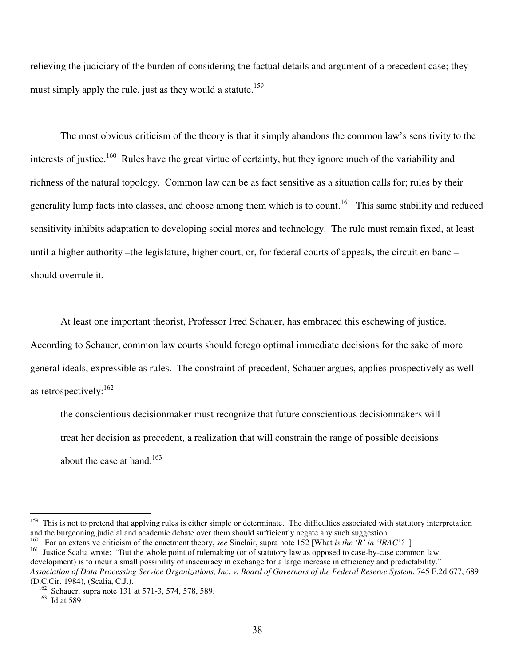relieving the judiciary of the burden of considering the factual details and argument of a precedent case; they must simply apply the rule, just as they would a statute.<sup>159</sup>

The most obvious criticism of the theory is that it simply abandons the common law's sensitivity to the interests of justice.<sup>160</sup> Rules have the great virtue of certainty, but they ignore much of the variability and richness of the natural topology. Common law can be as fact sensitive as a situation calls for; rules by their generality lump facts into classes, and choose among them which is to count.<sup>161</sup> This same stability and reduced sensitivity inhibits adaptation to developing social mores and technology. The rule must remain fixed, at least until a higher authority –the legislature, higher court, or, for federal courts of appeals, the circuit en banc – should overrule it.

At least one important theorist, Professor Fred Schauer, has embraced this eschewing of justice. According to Schauer, common law courts should forego optimal immediate decisions for the sake of more general ideals, expressible as rules. The constraint of precedent, Schauer argues, applies prospectively as well

as retrospectively:<sup>162</sup>

the conscientious decisionmaker must recognize that future conscientious decisionmakers will treat her decision as precedent, a realization that will constrain the range of possible decisions about the case at hand. 163

<sup>&</sup>lt;sup>159</sup> This is not to pretend that applying rules is either simple or determinate. The difficulties associated with statutory interpretation and the burgeoning judicial and academic debate over them should sufficiently negate any such suggestion.

<sup>160</sup> For an extensive criticism of the enactment theory, *see* Sinclair, supra note 152 [What *is the 'R' in 'IRAC'?* ] 161 Justice Scalia wrote: "But the whole point of rulemaking (or of statutory law as opposed to case-by-case common law development) is to incur a small possibility of inaccuracy in exchange for a large increase in efficiency and predictability." Association of Data Processing Service Organizations, Inc. v. Board of Governors of the Federal Reserve System, 745 F.2d 677, 689 (D.C.Cir. 1984), (Scalia, C.J.).

<sup>&</sup>lt;sup>162</sup> Schauer, supra note 131 at 571-3, 574, 578, 589.

 $163$  Id at 589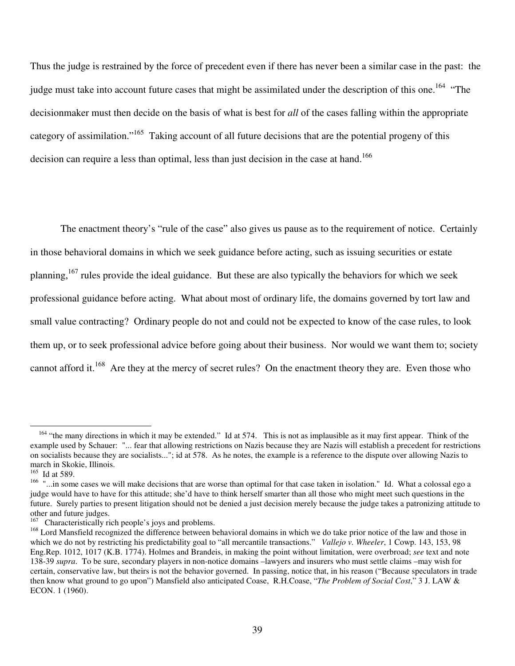Thus the judge is restrained by the force of precedent even if there has never been a similar case in the past: the judge must take into account future cases that might be assimilated under the description of this one.<sup>164</sup> "The decisionmaker must then decide on the basis of what is best for *all* of the cases falling within the appropriate category of assimilation."<sup>165</sup> Taking account of all future decisions that are the potential progeny of this decision can require a less than optimal, less than just decision in the case at hand.<sup>166</sup>

The enactment theory's "rule of the case" also gives us pause as to the requirement of notice. Certainly in those behavioral domains in which we seek guidance before acting, such as issuing securities or estate planning, <sup>167</sup> rules provide the ideal guidance. But these are also typically the behaviors for which we seek professional guidance before acting. What about most of ordinary life, the domains governed by tort law and small value contracting? Ordinary people do not and could not be expected to know of the case rules, to look them up, or to seek professional advice before going about their business. Nor would we want them to; society cannot afford it.<sup>168</sup> Are they at the mercy of secret rules? On the enactment theory they are. Even those who

<sup>&</sup>lt;sup>164</sup> "the many directions in which it may be extended." Id at 574. This is not as implausible as it may first appear. Think of the example used by Schauer: "... fear that allowing restrictions on Nazis because they are Nazis will establish a precedent for restrictions on socialists because they are socialists..."; id at 578. As he notes, the example is a reference to the dispute over allowing Nazis to march in Skokie, Illinois.

<sup>165</sup> Id at 589.

<sup>&</sup>lt;sup>166</sup> "...in some cases we will make decisions that are worse than optimal for that case taken in isolation." Id. What a colossal ego a judge would have to have for this attitude; she'd have to think herself smarter than all those who might meet such questions in the future. Surely parties to present litigation should not be denied a just decision merely because the judge takes a patronizing attitude to other and future judges.

<sup>&</sup>lt;sup>167</sup> Characteristically rich people's joys and problems.

<sup>&</sup>lt;sup>168</sup> Lord Mansfield recognized the difference between behavioral domains in which we do take prior notice of the law and those in which we do not by restricting his predictability goal to "all mercantile transactions." *Vallejo v. Wheeler*, 1 Cowp. 143, 153, 98 Eng.Rep. 1012, 1017 (K.B. 1774). Holmes and Brandeis, in making the point without limitation, were overbroad; *see* text and note 138-39 *supra*. To be sure, secondary players in non-notice domains –lawyers and insurers who must settle claims –may wish for certain, conservative law, but theirs is not the behavior governed. In passing, notice that, in his reason ("Because speculators in trade then know what ground to go upon") Mansfield also anticipated Coase, R.H.Coase, "*The Problem of Social Cost*," 3 J. LAW & ECON. 1 (1960).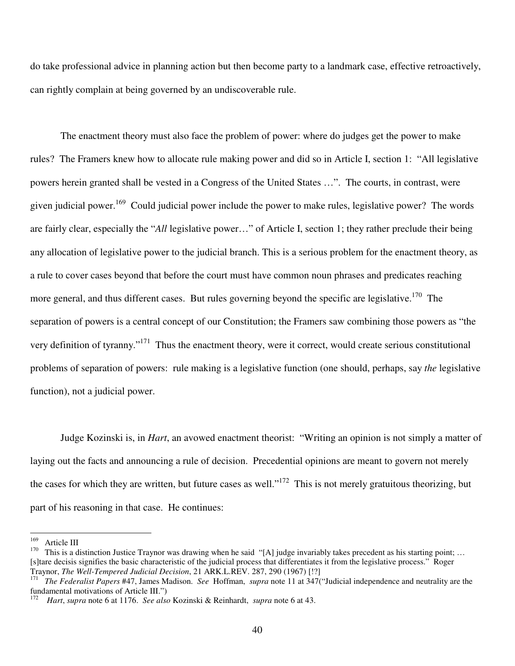do take professional advice in planning action but then become party to a landmark case, effective retroactively, can rightly complain at being governed by an undiscoverable rule.

The enactment theory must also face the problem of power: where do judges get the power to make rules? The Framers knew how to allocate rule making power and did so in Article I, section 1: "All legislative powers herein granted shall be vested in a Congress of the United States …". The courts, in contrast, were given judicial power.<sup>169</sup> Could judicial power include the power to make rules, legislative power? The words are fairly clear, especially the "*All* legislative power…" of Article I, section 1; they rather preclude their being any allocation of legislative power to the judicial branch. This is a serious problem for the enactment theory, as a rule to cover cases beyond that before the court must have common noun phrases and predicates reaching more general, and thus different cases. But rules governing beyond the specific are legislative.<sup>170</sup> The separation of powers is a central concept of our Constitution; the Framers saw combining those powers as "the very definition of tyranny."<sup>171</sup> Thus the enactment theory, were it correct, would create serious constitutional problems of separation of powers: rule making is a legislative function (one should, perhaps, say *the* legislative function), not a judicial power.

Judge Kozinski is, in *Hart*, an avowed enactment theorist: "Writing an opinion is not simply a matter of laying out the facts and announcing a rule of decision. Precedential opinions are meant to govern not merely the cases for which they are written, but future cases as well."<sup>172</sup> This is not merely gratuitous theorizing, but part of his reasoning in that case. He continues:

 $^{169}$  Article III<br><sup>170</sup> This is a d

This is a distinction Justice Traynor was drawing when he said "[A] judge invariably takes precedent as his starting point; ... [s]tare decisis signifies the basic characteristic of the judicial process that differentiates it from the legislative process." Roger Traynor, *The Well-Tempered Judicial Decision*, 21 ARK.L.REV. 287, 290 (1967) [!?]

<sup>171</sup> *The Federalist Papers* #47, James Madison. *See* Hoffman, *supra* note 11 at 347("Judicial independence and neutrality are the fundamental motivations of Article III.")<br> $\frac{172}{172}$  *Hart* supported 6 at 1176 See also

<sup>172</sup> *Hart*, *supra* note 6 at 1176. *See also* Kozinski & Reinhardt, *supra* note 6 at 43.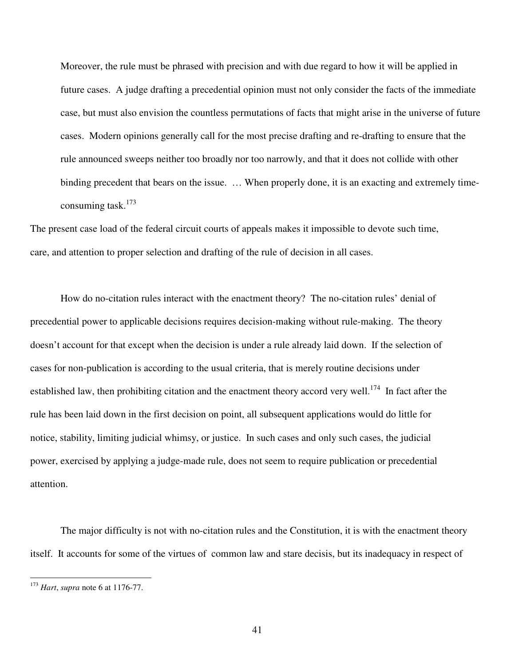Moreover, the rule must be phrased with precision and with due regard to how it will be applied in future cases. A judge drafting a precedential opinion must not only consider the facts of the immediate case, but must also envision the countless permutations of facts that might arise in the universe of future cases. Modern opinions generally call for the most precise drafting and re-drafting to ensure that the rule announced sweeps neither too broadly nor too narrowly, and that it does not collide with other binding precedent that bears on the issue. … When properly done, it is an exacting and extremely timeconsuming task. 173

The present case load of the federal circuit courts of appeals makes it impossible to devote such time, care, and attention to proper selection and drafting of the rule of decision in all cases.

How do no-citation rules interact with the enactment theory? The no-citation rules' denial of precedential power to applicable decisions requires decision-making without rule-making. The theory doesn't account for that except when the decision is under a rule already laid down. If the selection of cases for non-publication is according to the usual criteria, that is merely routine decisions under established law, then prohibiting citation and the enactment theory accord very well.<sup>174</sup> In fact after the rule has been laid down in the first decision on point, all subsequent applications would do little for notice, stability, limiting judicial whimsy, or justice. In such cases and only such cases, the judicial power, exercised by applying a judge-made rule, does not seem to require publication or precedential attention.

The major difficulty is not with no-citation rules and the Constitution, it is with the enactment theory itself. It accounts for some of the virtues of common law and stare decisis, but its inadequacy in respect of

<sup>173</sup> *Hart*, *supra* note 6 at 1176-77.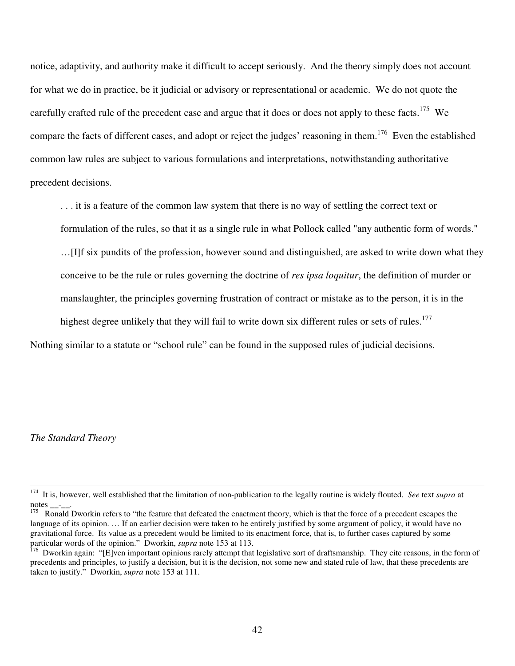notice, adaptivity, and authority make it difficult to accept seriously. And the theory simply does not account for what we do in practice, be it judicial or advisory or representational or academic. We do not quote the carefully crafted rule of the precedent case and argue that it does or does not apply to these facts.<sup>175</sup> We compare the facts of different cases, and adopt or reject the judges' reasoning in them.<sup>176</sup> Even the established common law rules are subject to various formulations and interpretations, notwithstanding authoritative precedent decisions.

. . . it is a feature of the common law system that there is no way of settling the correct text or formulation of the rules, so that it as a single rule in what Pollock called "any authentic form of words."

…[I]f six pundits of the profession, however sound and distinguished, are asked to write down what they conceive to be the rule or rules governing the doctrine of *res ipsa loquitur*, the definition of murder or manslaughter, the principles governing frustration of contract or mistake as to the person, it is in the

highest degree unlikely that they will fail to write down six different rules or sets of rules.<sup>177</sup>

Nothing similar to a statute or "school rule" can be found in the supposed rules of judicial decisions.

*The Standard Theory*

<sup>174</sup> It is, however, well established that the limitation of non-publication to the legally routine is widely flouted. *See* text *supra* at notes  $\_\_$ .

Ronald Dworkin refers to "the feature that defeated the enactment theory, which is that the force of a precedent escapes the language of its opinion. ... If an earlier decision were taken to be entirely justified by some argument of policy, it would have no gravitational force. Its value as a precedent would be limited to its enactment force, that is, to further cases captured by some particular words of the opinion." Dworkin, *supra* note 153 at 113.

<sup>&</sup>lt;sup>176</sup> Dworkin again: "[E]ven important opinions rarely attempt that legislative sort of draftsmanship. They cite reasons, in the form of precedents and principles, to justify a decision, but it is the decision, not some new and stated rule of law, that these precedents are taken to justify." Dworkin, *supra* note 153 at 111.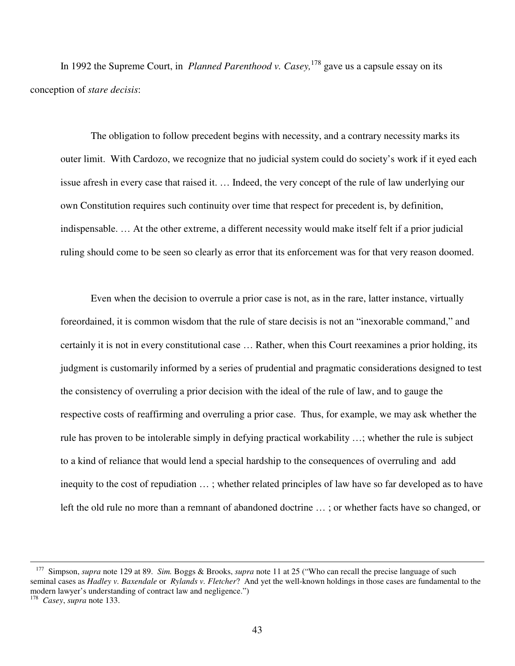In 1992 the Supreme Court, in *Planned Parenthood v. Casey,* 178 gave us a capsule essay on its conception of *stare decisis*:

The obligation to follow precedent begins with necessity, and a contrary necessity marks its outer limit. With Cardozo, we recognize that no judicial system could do society's work if it eyed each issue afresh in every case that raised it. … Indeed, the very concept of the rule of law underlying our own Constitution requires such continuity over time that respect for precedent is, by definition, indispensable. … At the other extreme, a different necessity would make itself felt if a prior judicial ruling should come to be seen so clearly as error that its enforcement was for that very reason doomed.

Even when the decision to overrule a prior case is not, as in the rare, latter instance, virtually foreordained, it is common wisdom that the rule of stare decisis is not an "inexorable command," and certainly it is not in every constitutional case … Rather, when this Court reexamines a prior holding, its judgment is customarily informed by a series of prudential and pragmatic considerations designed to test the consistency of overruling a prior decision with the ideal of the rule of law, and to gauge the respective costs of reaffirming and overruling a prior case. Thus, for example, we may ask whether the rule has proven to be intolerable simply in defying practical workability …; whether the rule is subject to a kind of reliance that would lend a special hardship to the consequences of overruling and add inequity to the cost of repudiation … ; whether related principles of law have so far developed as to have left the old rule no more than a remnant of abandoned doctrine … ; or whether facts have so changed, or

<sup>&</sup>lt;sup>177</sup> Simpson, *supra* note 129 at 89. *Sim.* Boggs & Brooks, *supra* note 11 at 25 ("Who can recall the precise language of such seminal cases as *Hadley v. Baxendale* or *Rylands v. Fletcher*? And yet the well-known holdings in those cases are fundamental to the modern lawyer's understanding of contract law and negligence.")

<sup>178</sup> *Casey*, *supra* note 133.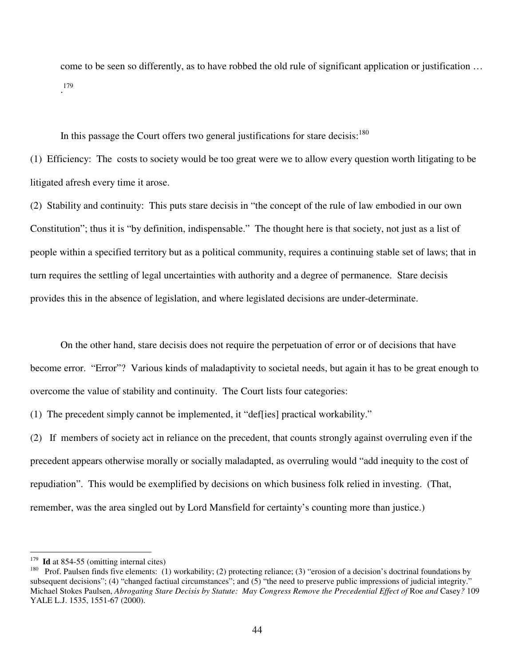come to be seen so differently, as to have robbed the old rule of significant application or justification … . 179

In this passage the Court offers two general justifications for stare decisis:<sup>180</sup>

(1) Efficiency: The costs to society would be too great were we to allow every question worth litigating to be litigated afresh every time it arose.

(2) Stability and continuity: This puts stare decisis in "the concept of the rule of law embodied in our own Constitution"; thus it is "by definition, indispensable." The thought here is that society, not just as a list of people within a specified territory but as a political community, requires a continuing stable set of laws; that in turn requires the settling of legal uncertainties with authority and a degree of permanence. Stare decisis provides this in the absence of legislation, and where legislated decisions are under-determinate.

On the other hand, stare decisis does not require the perpetuation of error or of decisions that have become error. "Error"? Various kinds of maladaptivity to societal needs, but again it has to be great enough to overcome the value of stability and continuity. The Court lists four categories:

(1) The precedent simply cannot be implemented, it "def[ies] practical workability."

(2) If members of society act in reliance on the precedent, that counts strongly against overruling even if the precedent appears otherwise morally or socially maladapted, as overruling would "add inequity to the cost of repudiation". This would be exemplified by decisions on which business folk relied in investing. (That, remember, was the area singled out by Lord Mansfield for certainty's counting more than justice.)

<sup>&</sup>lt;sup>179</sup> Id at 854-55 (omitting internal cites)

<sup>180</sup> Prof. Paulsen finds five elements: (1) workability; (2) protecting reliance; (3) "erosion of a decision's doctrinal foundations by subsequent decisions"; (4) "changed factiual circumstances"; and (5) "the need to preserve public impressions of judicial integrity." Michael Stokes Paulsen, *Abrogating Stare Decisis by Statute: May Congress Remove the Precedential Effect of* Roe *and* Casey*?* 109 YALE L.J. 1535, 1551-67 (2000).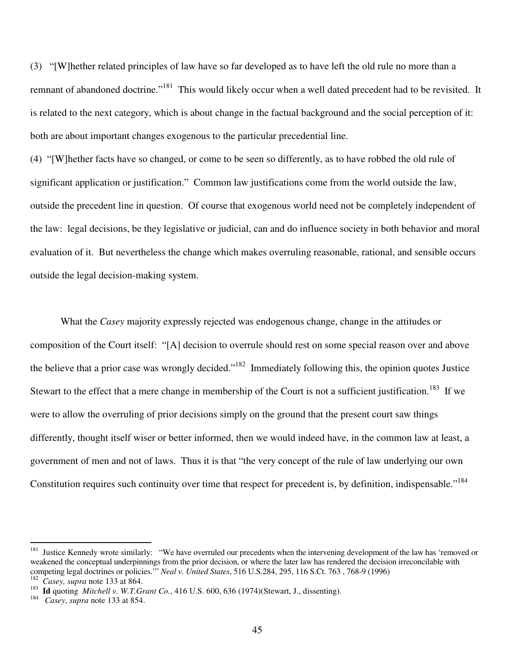(3) "[W]hether related principles of law have so far developed as to have left the old rule no more than a remnant of abandoned doctrine."<sup>181</sup> This would likely occur when a well dated precedent had to be revisited. It is related to the next category, which is about change in the factual background and the social perception of it: both are about important changes exogenous to the particular precedential line.

(4) "[W]hether facts have so changed, or come to be seen so differently, as to have robbed the old rule of significant application or justification." Common law justifications come from the world outside the law, outside the precedent line in question. Of course that exogenous world need not be completely independent of the law: legal decisions, be they legislative or judicial, can and do influence society in both behavior and moral evaluation of it. But nevertheless the change which makes overruling reasonable, rational, and sensible occurs outside the legal decision-making system.

What the *Casey* majority expressly rejected was endogenous change, change in the attitudes or composition of the Court itself: "[A] decision to overrule should rest on some special reason over and above the believe that a prior case was wrongly decided."<sup>182</sup> Immediately following this, the opinion quotes Justice Stewart to the effect that a mere change in membership of the Court is not a sufficient justification.<sup>183</sup> If we were to allow the overruling of prior decisions simply on the ground that the present court saw things differently, thought itself wiser or better informed, then we would indeed have, in the common law at least, a government of men and not of laws. Thus it is that "the very concept of the rule of law underlying our own Constitution requires such continuity over time that respect for precedent is, by definition, indispensable."<sup>184</sup>

<sup>181</sup> Justice Kennedy wrote similarly: "We have overruled our precedents when the intervening development of the law has 'removed or weakened the conceptual underpinnings from the prior decision, or where the later law has rendered the decision irreconcilable with competing legal doctrines or policies.'" *Neal v. United States*, 516 U.S.284, 295, 116 S.Ct. 763 , 768-9 (1996) <sup>182</sup> *Casey, supra* note 133 at 864.

<sup>183</sup> **Id** quoting *Mitchell v. W.T.Grant Co.*, 416 U.S. 600, 636 (1974)(Stewart, J., dissenting).

<sup>184</sup> *Casey*, *supra* note 133 at 854.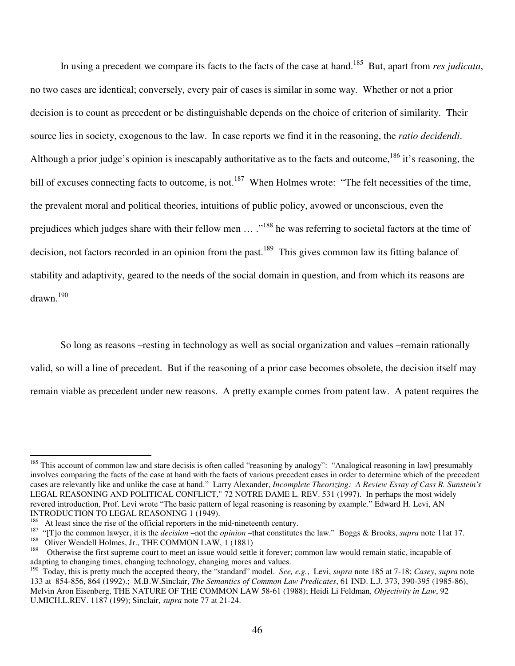In using a precedent we compare its facts to the facts of the case at hand. <sup>185</sup> But, apart from *res judicata*, no two cases are identical; conversely, every pair of cases is similar in some way. Whether or not a prior decision is to count as precedent or be distinguishable depends on the choice of criterion of similarity. Their source lies in society, exogenous to the law. In case reports we find it in the reasoning, the *ratio decidendi*. Although a prior judge's opinion is inescapably authoritative as to the facts and outcome, <sup>186</sup> it's reasoning, the bill of excuses connecting facts to outcome, is not.<sup>187</sup> When Holmes wrote: "The felt necessities of the time, the prevalent moral and political theories, intuitions of public policy, avowed or unconscious, even the prejudices which judges share with their fellow men ... ."<sup>188</sup> he was referring to societal factors at the time of decision, not factors recorded in an opinion from the past.<sup>189</sup> This gives common law its fitting balance of stability and adaptivity, geared to the needs of the social domain in question, and from which its reasons are drawn. 190

So long as reasons –resting in technology as well as social organization and values –remain rationally valid, so will a line of precedent. But if the reasoning of a prior case becomes obsolete, the decision itself may remain viable as precedent under new reasons. A pretty example comes from patent law. A patent requires the

<sup>&</sup>lt;sup>185</sup> This account of common law and stare decisis is often called "reasoning by analogy": "Analogical reasoning in law] presumably involves comparing the facts of the case at hand with the facts of various precedent cases in order to determine which of the precedent cases are relevantly like and unlike the case at hand." Larry Alexander, *Incomplete Theorizing: A Review Essay of Cass R. Sunstein's* LEGAL REASONING AND POLITICAL CONFLICT," 72 NOTRE DAME L. REV. 531 (1997). In perhaps the most widely revered introduction, Prof. Levi wrote "The basic pattern of legal reasoning is reasoning by example." Edward H. Levi, AN INTRODUCTION TO LEGAL REASONING 1 (1949).

At least since the rise of the official reporters in the mid-nineteenth century.

<sup>187</sup> "[T]o the common lawyer, it is the *decision* –not the *opinion* –that constitutes the law." Boggs & Brooks, *supra* note 11at 17.

<sup>&</sup>lt;sup>188</sup> Oliver Wendell Holmes, Jr., THE COMMON LAW, 1 (1881)

<sup>189</sup> Otherwise the first supreme court to meet an issue would settle it forever; common law would remain static, incapable of adapting to changing times, changing technology, changing mores and values.

<sup>190</sup> Today, this is pretty much the accepted theory, the "standard" model. *See, e.g.*, Levi, *supra* note 185 at 7-18; *Casey*, *supra* note 133 at 854-856, 864 (1992).; M.B.W.Sinclair, *The Semantics of Common Law Predicates*, 61 IND. L.J. 373, 390-395 (1985-86), Melvin Aron Eisenberg, THE NATURE OF THE COMMON LAW 58-61 (1988); Heidi Li Feldman, *Objectivity in Law*, 92 U.MICH.L.REV. 1187 (199); Sinclair, *supra* note 77 at 21-24.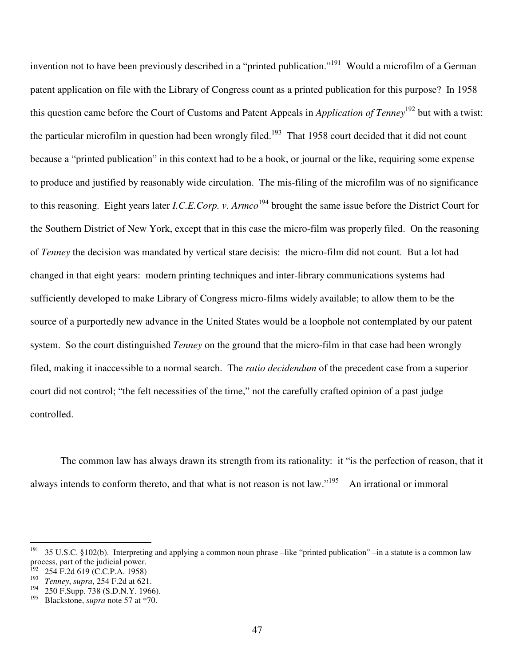invention not to have been previously described in a "printed publication."<sup>191</sup> Would a microfilm of a German patent application on file with the Library of Congress count as a printed publication for this purpose? In 1958 this question came before the Court of Customs and Patent Appeals in *Application of Tenney* 192 but with a twist: the particular microfilm in question had been wrongly filed.<sup>193</sup> That 1958 court decided that it did not count because a "printed publication" in this context had to be a book, or journal or the like, requiring some expense to produce and justified by reasonably wide circulation. The mis-filing of the microfilm was of no significance to this reasoning. Eight years later *I.C.E.Corp. v. Armco* 194 brought the same issue before the District Court for the Southern District of New York, except that in this case the micro-film was properly filed. On the reasoning of *Tenney* the decision was mandated by vertical stare decisis: the micro-film did not count. But a lot had changed in that eight years: modern printing techniques and inter-library communications systems had sufficiently developed to make Library of Congress micro-films widely available; to allow them to be the source of a purportedly new advance in the United States would be a loophole not contemplated by our patent system. So the court distinguished *Tenney* on the ground that the micro-film in that case had been wrongly filed, making it inaccessible to a normal search. The *ratio decidendum* of the precedent case from a superior court did not control; "the felt necessities of the time," not the carefully crafted opinion of a past judge controlled.

The common law has always drawn its strength from its rationality: it "is the perfection of reason, that it always intends to conform thereto, and that what is not reason is not law."<sup>195</sup> An irrational or immoral

<sup>&</sup>lt;sup>191</sup> 35 U.S.C. §102(b). Interpreting and applying a common noun phrase –like "printed publication" –in a statute is a common law process, part of the judicial power.

 $192$  254 F.2d 619 (C.C.P.A. 1958)

<sup>193</sup> *Tenney*, *supra*, 254 F.2d at 621.

<sup>194</sup> 250 F.Supp. 738 (S.D.N.Y. 1966).

<sup>195</sup> Blackstone, *supra* note 57 at \*70.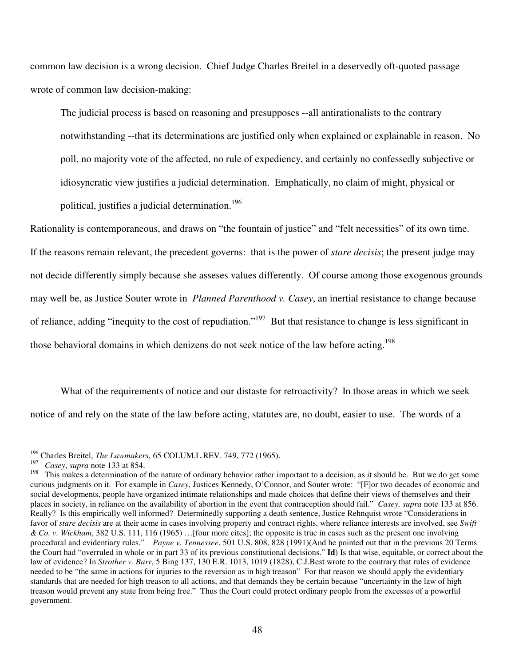common law decision is a wrong decision. Chief Judge Charles Breitel in a deservedly oft-quoted passage wrote of common law decision-making:

The judicial process is based on reasoning and presupposes --all antirationalists to the contrary notwithstanding --that its determinations are justified only when explained or explainable in reason. No poll, no majority vote of the affected, no rule of expediency, and certainly no confessedly subjective or idiosyncratic view justifies a judicial determination. Emphatically, no claim of might, physical or political, justifies a judicial determination. 196

Rationality is contemporaneous, and draws on "the fountain of justice" and "felt necessities" of its own time. If the reasons remain relevant, the precedent governs: that is the power of *stare decisis*; the present judge may not decide differently simply because she asseses values differently. Of course among those exogenous grounds may well be, as Justice Souter wrote in *Planned Parenthood v. Casey*, an inertial resistance to change because of reliance, adding "inequity to the cost of repudiation."<sup>197</sup> But that resistance to change is less significant in those behavioral domains in which denizens do not seek notice of the law before acting. 198

What of the requirements of notice and our distaste for retroactivity? In those areas in which we seek notice of and rely on the state of the law before acting, statutes are, no doubt, easier to use. The words of a

<sup>&</sup>lt;sup>196</sup> Charles Breitel, *The Lawmakers*, 65 COLUM.L.REV. 749, 772 (1965).

<sup>&</sup>lt;sup>197</sup> *Casey*, *supra* note 133 at 854.<br><sup>198</sup> This makes a determination of

<sup>198</sup> This makes a determination of the nature of ordinary behavior rather important to a decision, as it should be. But we do get some curious judgments on it. For example in *Casey*, Justices Kennedy, O'Connor, and Souter wrote: "[F]or two decades of economic and social developments, people have organized intimate relationships and made choices that define their views of themselves and their places in society, in reliance on the availability of abortion in the event that contraception should fail." *Casey, supra* note 133 at 856. Really? Is this empirically well informed? Determinedly supporting a death sentence, Justice Rehnquist wrote "Considerations in favor of *stare decisis* are at their acme in cases involving property and contract rights, where reliance interests are involved, see *Swift & Co. v. Wickham*, 382 U.S. 111, 116 (1965) …[four more cites]; the opposite is true in cases such as the present one involving procedural and evidentiary rules." *Payne v. Tennessee*, 501 U.S. 808, 828 (1991)(And he pointed out that in the previous 20 Terms the Court had "overruled in whole or in part 33 of its previous constitutional decisions." **Id**) Is that wise, equitable, or correct about the law of evidence? In *Strother v. Barr*, 5 Bing 137, 130 E.R. 1013, 1019 (1828), C.J.Best wrote to the contrary that rules of evidence needed to be "the same in actions for injuries to the reversion as in high treason" For that reason we should apply the evidentiary standards that are needed for high treason to all actions, and that demands they be certain because "uncertainty in the law of high treason would prevent any state from being free." Thus the Court could protect ordinary people from the excesses of a powerful government.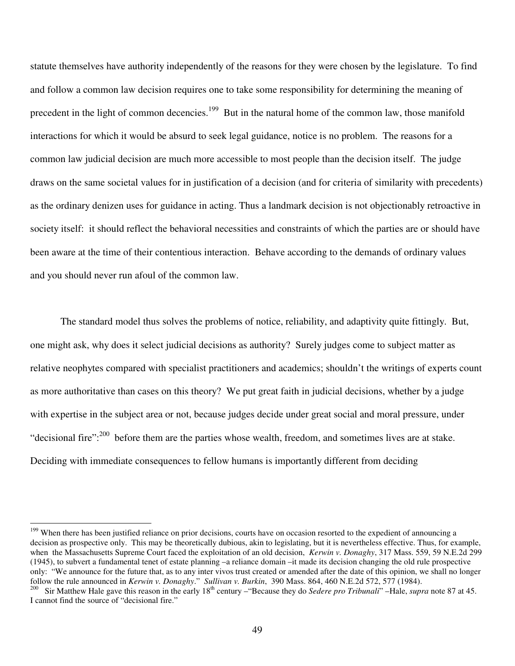statute themselves have authority independently of the reasons for they were chosen by the legislature. To find and follow a common law decision requires one to take some responsibility for determining the meaning of precedent in the light of common decencies.<sup>199</sup> But in the natural home of the common law, those manifold interactions for which it would be absurd to seek legal guidance, notice is no problem. The reasons for a common law judicial decision are much more accessible to most people than the decision itself. The judge draws on the same societal values for in justification of a decision (and for criteria of similarity with precedents) as the ordinary denizen uses for guidance in acting. Thus a landmark decision is not objectionably retroactive in society itself: it should reflect the behavioral necessities and constraints of which the parties are or should have been aware at the time of their contentious interaction. Behave according to the demands of ordinary values and you should never run afoul of the common law.

The standard model thus solves the problems of notice, reliability, and adaptivity quite fittingly. But, one might ask, why does it select judicial decisions as authority? Surely judges come to subject matter as relative neophytes compared with specialist practitioners and academics; shouldn't the writings of experts count as more authoritative than cases on this theory? We put great faith in judicial decisions, whether by a judge with expertise in the subject area or not, because judges decide under great social and moral pressure, under "decisional fire":<sup>200</sup> before them are the parties whose wealth, freedom, and sometimes lives are at stake. Deciding with immediate consequences to fellow humans is importantly different from deciding

<sup>&</sup>lt;sup>199</sup> When there has been justified reliance on prior decisions, courts have on occasion resorted to the expedient of announcing a decision as prospective only. This may be theoretically dubious, akin to legislating, but it is nevertheless effective. Thus, for example, when the Massachusetts Supreme Court faced the exploitation of an old decision, *Kerwin v. Donaghy*, 317 Mass. 559, 59 N.E.2d 299 (1945), to subvert a fundamental tenet of estate planning –a reliance domain –it made its decision changing the old rule prospective only: "We announce for the future that, as to any inter vivos trust created or amended after the date of this opinion, we shall no longer follow the rule announced in *Kerwin v. Donaghy.*" Sullivan v. Burkin, 390 Mass. 864, 460 N.E.2d 572, 577 (1984).<br><sup>200</sup> Sir Matthew Hale gave this reason in the early 18<sup>th</sup> century – "Because they do Sedere pro Tribunali

I cannot find the source of "decisional fire."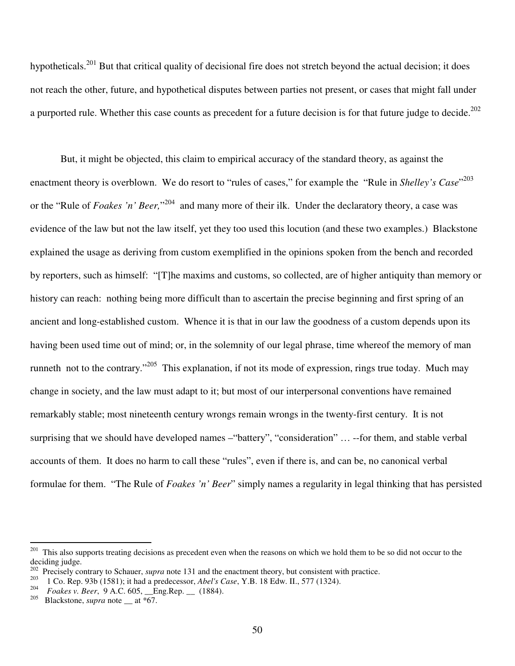hypotheticals.<sup>201</sup> But that critical quality of decisional fire does not stretch beyond the actual decision; it does not reach the other, future, and hypothetical disputes between parties not present, or cases that might fall under a purported rule. Whether this case counts as precedent for a future decision is for that future judge to decide. $^{202}$ 

But, it might be objected, this claim to empirical accuracy of the standard theory, as against the enactment theory is overblown. We do resort to "rules of cases," for example the "Rule in *Shelley's Case*"<sup>203</sup> or the "Rule of *Foakes 'n' Beer,*" 204 and many more of their ilk. Under the declaratory theory, a case was evidence of the law but not the law itself, yet they too used this locution (and these two examples.) Blackstone explained the usage as deriving from custom exemplified in the opinions spoken from the bench and recorded by reporters, such as himself: "[T]he maxims and customs, so collected, are of higher antiquity than memory or history can reach: nothing being more difficult than to ascertain the precise beginning and first spring of an ancient and long-established custom. Whence it is that in our law the goodness of a custom depends upon its having been used time out of mind; or, in the solemnity of our legal phrase, time whereof the memory of man runneth not to the contrary."<sup>205</sup> This explanation, if not its mode of expression, rings true today. Much may change in society, and the law must adapt to it; but most of our interpersonal conventions have remained remarkably stable; most nineteenth century wrongs remain wrongs in the twenty-first century. It is not surprising that we should have developed names –"battery", "consideration" … --for them, and stable verbal accounts of them. It does no harm to call these "rules", even if there is, and can be, no canonical verbal formulae for them. "The Rule of *Foakes 'n' Beer*" simply names a regularity in legal thinking that has persisted

<sup>&</sup>lt;sup>201</sup> This also supports treating decisions as precedent even when the reasons on which we hold them to be so did not occur to the deciding judge.

<sup>&</sup>lt;sup>202</sup> Precisely contrary to Schauer, *supra* note 131 and the enactment theory, but consistent with practice.

<sup>203</sup> 1 Co. Rep. 93b (1581); it had a predecessor, *Abel's Case*, Y.B. 18 Edw. II., 577 (1324).

<sup>&</sup>lt;sup>204</sup> *Foakes v. Beer*, 9 A.C. 605, *\_\_Eng.Rep.* (1884).

Blackstone, *supra* note \_\_ at \*67.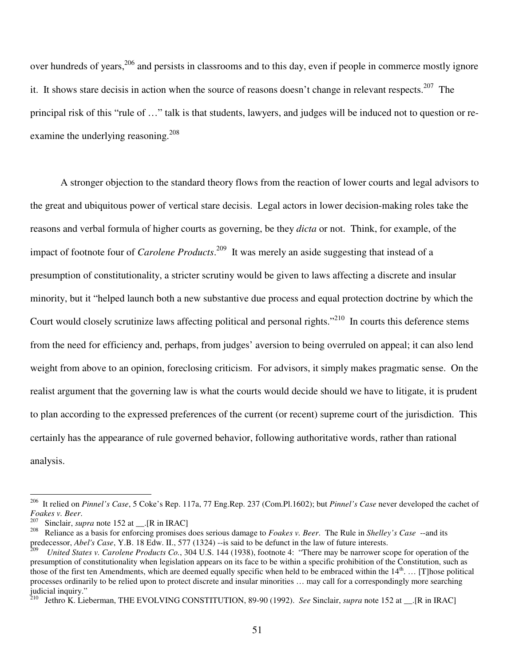over hundreds of years, 206 and persists in classrooms and to this day, even if people in commerce mostly ignore it. It shows stare decisis in action when the source of reasons doesn't change in relevant respects.<sup>207</sup> The principal risk of this "rule of …" talk is that students, lawyers, and judges will be induced not to question or reexamine the underlying reasoning.<sup>208</sup>

A stronger objection to the standard theory flows from the reaction of lower courts and legal advisors to the great and ubiquitous power of vertical stare decisis. Legal actors in lower decision-making roles take the reasons and verbal formula of higher courts as governing, be they *dicta* or not. Think, for example, of the impact of footnote four of *Carolene Products*. 209 It was merely an aside suggesting that instead of a presumption of constitutionality, a stricter scrutiny would be given to laws affecting a discrete and insular minority, but it "helped launch both a new substantive due process and equal protection doctrine by which the Court would closely scrutinize laws affecting political and personal rights."<sup>210</sup> In courts this deference stems from the need for efficiency and, perhaps, from judges' aversion to being overruled on appeal; it can also lend weight from above to an opinion, foreclosing criticism. For advisors, it simply makes pragmatic sense. On the realist argument that the governing law is what the courts would decide should we have to litigate, it is prudent to plan according to the expressed preferences of the current (or recent) supreme court of the jurisdiction. This certainly has the appearance of rule governed behavior, following authoritative words, rather than rational analysis.

<sup>206</sup> It relied on *Pinnel's Case*, 5 Coke's Rep. 117a, 77 Eng.Rep. 237 (Com.Pl.1602); but *Pinnel's Case* never developed the cachet of *Foakes v. Beer*.

<sup>207</sup> Sinclair, *supra* note 152 at [R in IRAC]

<sup>208</sup> Reliance as a basis for enforcing promises does serious damage to *Foakes v. Beer*. The Rule in *Shelley's Case* --and its predecessor, *Abel's Case*, Y.B. 18 Edw. II., 577 (1324) --is said to be defunct in the law of future interests.

<sup>209</sup> *United States v. Carolene Products Co.*, 304 U.S. 144 (1938), footnote 4: "There may be narrower scope for operation of the presumption of constitutionality when legislation appears on its face to be within a specific prohibition of the Constitution, such as those of the first ten Amendments, which are deemed equally specific when held to be embraced within the  $14<sup>th</sup>$ ... [T]hose political processes ordinarily to be relied upon to protect discrete and insular minorities … may call for a correspondingly more searching judicial inquiry."<br><sup>210</sup> Lethro K, Lis

Jethro K. Lieberman, THE EVOLVING CONSTITUTION, 89-90 (1992). *See* Sinclair, *supra* note 152 at \_\_.[R in IRAC]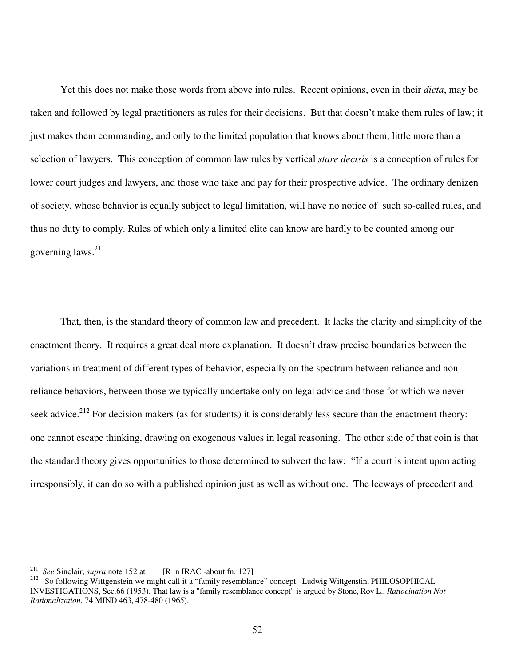Yet this does not make those words from above into rules. Recent opinions, even in their *dicta*, may be taken and followed by legal practitioners as rules for their decisions. But that doesn't make them rules of law; it just makes them commanding, and only to the limited population that knows about them, little more than a selection of lawyers. This conception of common law rules by vertical *stare decisis* is a conception of rules for lower court judges and lawyers, and those who take and pay for their prospective advice. The ordinary denizen of society, whose behavior is equally subject to legal limitation, will have no notice of such so-called rules, and thus no duty to comply. Rules of which only a limited elite can know are hardly to be counted among our governing laws. 211

That, then, is the standard theory of common law and precedent. It lacks the clarity and simplicity of the enactment theory. It requires a great deal more explanation. It doesn't draw precise boundaries between the variations in treatment of different types of behavior, especially on the spectrum between reliance and nonreliance behaviors, between those we typically undertake only on legal advice and those for which we never seek advice.<sup>212</sup> For decision makers (as for students) it is considerably less secure than the enactment theory: one cannot escape thinking, drawing on exogenous values in legal reasoning. The other side of that coin is that the standard theory gives opportunities to those determined to subvert the law: "If a court is intent upon acting irresponsibly, it can do so with a published opinion just as well as without one. The leeways of precedent and

<sup>211</sup> *See* Sinclair, *supra* note 152 at \_\_\_ [R in IRAC -about fn. 127]

<sup>212</sup> So following Wittgenstein we might call it a "family resemblance" concept. Ludwig Wittgenstin, PHILOSOPHICAL INVESTIGATIONS, Sec.66 (1953). That law is a "family resemblance concept" is argued by Stone, Roy L., *Ratiocination Not Rationalization*, 74 MIND 463, 478-480 (1965).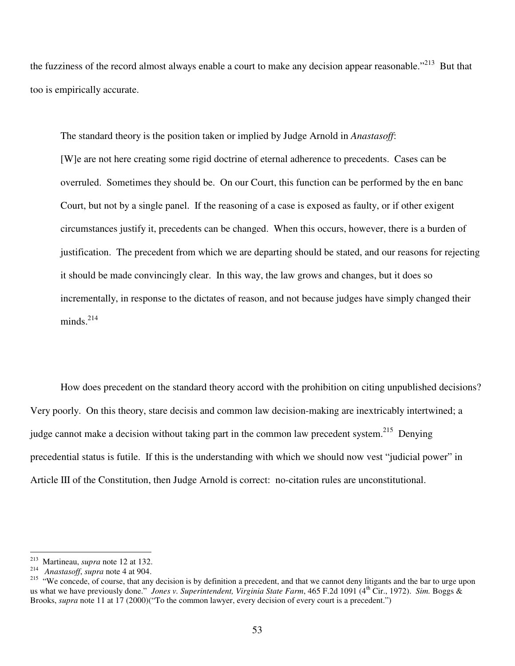the fuzziness of the record almost always enable a court to make any decision appear reasonable."<sup>213</sup> But that too is empirically accurate.

The standard theory is the position taken or implied by Judge Arnold in *Anastasoff*: [W]e are not here creating some rigid doctrine of eternal adherence to precedents. Cases can be overruled. Sometimes they should be. On our Court, this function can be performed by the en banc Court, but not by a single panel. If the reasoning of a case is exposed as faulty, or if other exigent circumstances justify it, precedents can be changed. When this occurs, however, there is a burden of justification. The precedent from which we are departing should be stated, and our reasons for rejecting it should be made convincingly clear. In this way, the law grows and changes, but it does so incrementally, in response to the dictates of reason, and not because judges have simply changed their minds.<sup>214</sup>

How does precedent on the standard theory accord with the prohibition on citing unpublished decisions? Very poorly. On this theory, stare decisis and common law decision-making are inextricably intertwined; a judge cannot make a decision without taking part in the common law precedent system.<sup>215</sup> Denying precedential status is futile. If this is the understanding with which we should now vest "judicial power" in Article III of the Constitution, then Judge Arnold is correct: no-citation rules are unconstitutional.

<sup>213</sup> Martineau, *supra* note 12 at 132.

<sup>214</sup> *Anastasoff*, *supra* note 4 at 904.

<sup>&</sup>lt;sup>215</sup> "We concede, of course, that any decision is by definition a precedent, and that we cannot deny litigants and the bar to urge upon us what we have previously done." *Jones v. Superintendent, Virginia State Farm*, 465 F.2d 1091 (4 th Cir., 1972). *Sim.* Boggs & Brooks, *supra* note 11 at 17 (2000)("To the common lawyer, every decision of every court is a precedent.")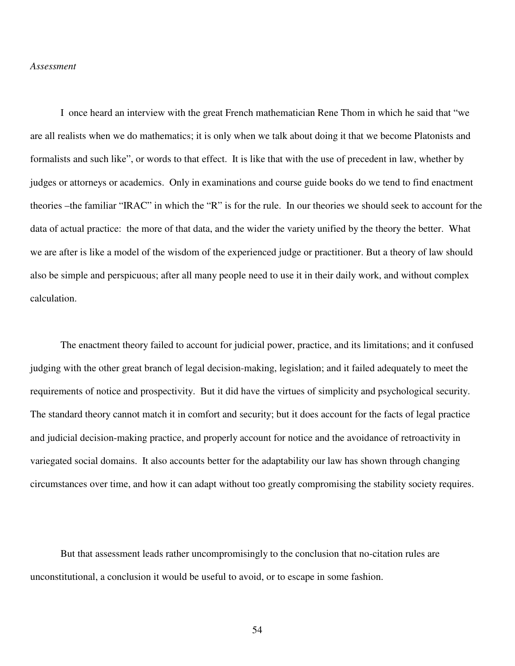#### *Assessment*

I once heard an interview with the great French mathematician Rene Thom in which he said that "we are all realists when we do mathematics; it is only when we talk about doing it that we become Platonists and formalists and such like", or words to that effect. It is like that with the use of precedent in law, whether by judges or attorneys or academics. Only in examinations and course guide books do we tend to find enactment theories –the familiar "IRAC" in which the "R" is for the rule. In our theories we should seek to account for the data of actual practice: the more of that data, and the wider the variety unified by the theory the better. What we are after is like a model of the wisdom of the experienced judge or practitioner. But a theory of law should also be simple and perspicuous; after all many people need to use it in their daily work, and without complex calculation.

The enactment theory failed to account for judicial power, practice, and its limitations; and it confused judging with the other great branch of legal decision-making, legislation; and it failed adequately to meet the requirements of notice and prospectivity. But it did have the virtues of simplicity and psychological security. The standard theory cannot match it in comfort and security; but it does account for the facts of legal practice and judicial decision-making practice, and properly account for notice and the avoidance of retroactivity in variegated social domains. It also accounts better for the adaptability our law has shown through changing circumstances over time, and how it can adapt without too greatly compromising the stability society requires.

But that assessment leads rather uncompromisingly to the conclusion that no-citation rules are unconstitutional, a conclusion it would be useful to avoid, or to escape in some fashion.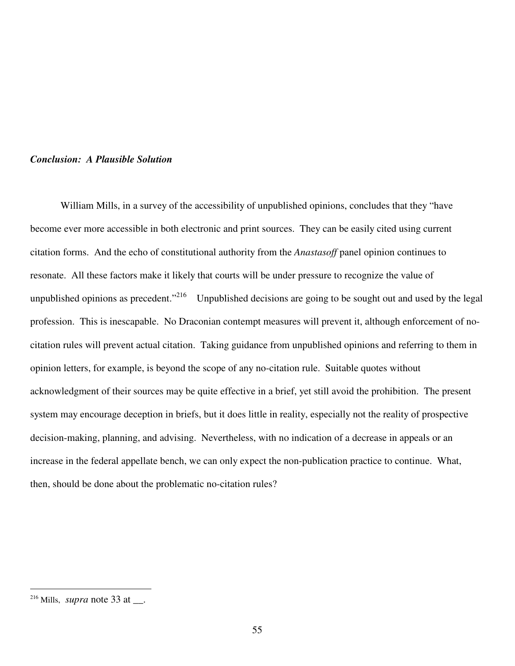#### *Conclusion: A Plausible Solution*

William Mills, in a survey of the accessibility of unpublished opinions, concludes that they "have become ever more accessible in both electronic and print sources. They can be easily cited using current citation forms. And the echo of constitutional authority from the *Anastasoff* panel opinion continues to resonate. All these factors make it likely that courts will be under pressure to recognize the value of unpublished opinions as precedent."<sup>216</sup> Unpublished decisions are going to be sought out and used by the legal profession. This is inescapable. No Draconian contempt measures will prevent it, although enforcement of nocitation rules will prevent actual citation. Taking guidance from unpublished opinions and referring to them in opinion letters, for example, is beyond the scope of any no-citation rule. Suitable quotes without acknowledgment of their sources may be quite effective in a brief, yet still avoid the prohibition. The present system may encourage deception in briefs, but it does little in reality, especially not the reality of prospective decision-making, planning, and advising. Nevertheless, with no indication of a decrease in appeals or an increase in the federal appellate bench, we can only expect the non-publication practice to continue. What, then, should be done about the problematic no-citation rules?

 $^{216}$  Mills, *supra* note 33 at \_\_.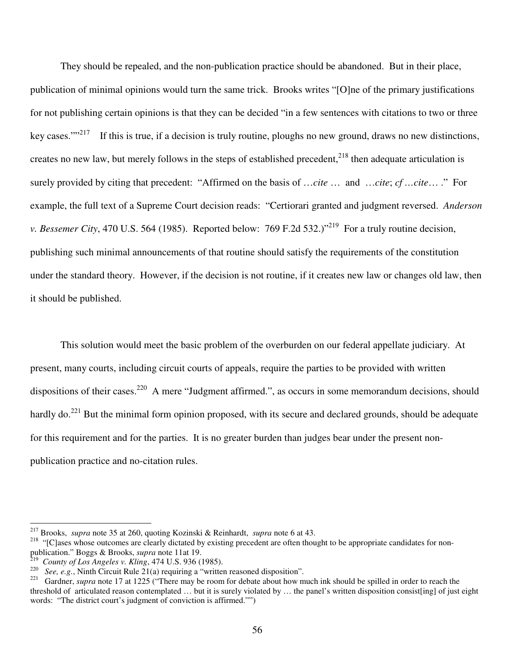They should be repealed, and the non-publication practice should be abandoned. But in their place, publication of minimal opinions would turn the same trick. Brooks writes "[O]ne of the primary justifications for not publishing certain opinions is that they can be decided "in a few sentences with citations to two or three key cases.""<sup>217</sup> If this is true, if a decision is truly routine, ploughs no new ground, draws no new distinctions, creates no new law, but merely follows in the steps of established precedent,<sup>218</sup> then adequate articulation is surely provided by citing that precedent: "Affirmed on the basis of …*cite* … and …*cite*; *cf …cite*… ." For example, the full text of a Supreme Court decision reads: "Certiorari granted and judgment reversed. *Anderson v. Bessemer City*, 470 U.S. 564 (1985). Reported below: 769 F.2d 532.)" 219 For a truly routine decision, publishing such minimal announcements of that routine should satisfy the requirements of the constitution under the standard theory. However, if the decision is not routine, if it creates new law or changes old law, then it should be published.

This solution would meet the basic problem of the overburden on our federal appellate judiciary. At present, many courts, including circuit courts of appeals, require the parties to be provided with written dispositions of their cases.<sup>220</sup> A mere "Judgment affirmed.", as occurs in some memorandum decisions, should hardly do.<sup>221</sup> But the minimal form opinion proposed, with its secure and declared grounds, should be adequate for this requirement and for the parties. It is no greater burden than judges bear under the present nonpublication practice and no-citation rules.

<sup>217</sup> Brooks, *supra* note 35 at 260, quoting Kozinski & Reinhardt, *supra* note 6 at 43.

<sup>&</sup>lt;sup>218</sup> "[C]ases whose outcomes are clearly dictated by existing precedent are often thought to be appropriate candidates for nonpublication." Boggs & Brooks, *supra* note 11at 19.

<sup>219</sup> *County of Los Angeles v. Kling*, 474 U.S. 936 (1985).

<sup>220</sup> *See, e.g.*, Ninth Circuit Rule 21(a) requiring a "written reasoned disposition".

<sup>&</sup>lt;sup>221</sup> Gardner, *supra* note 17 at 1225 ("There may be room for debate about how much ink should be spilled in order to reach the threshold of articulated reason contemplated ... but it is surely violated by ... the panel's written disposition consist [ing] of just eight words: "The district court's judgment of conviction is affirmed."")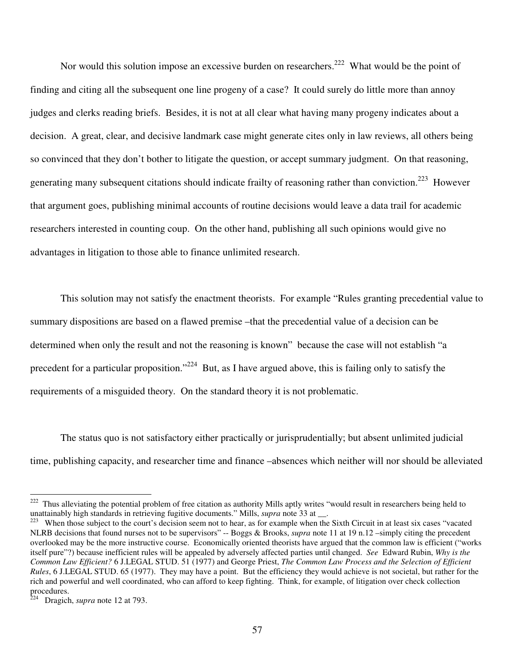Nor would this solution impose an excessive burden on researchers.<sup>222</sup> What would be the point of finding and citing all the subsequent one line progeny of a case? It could surely do little more than annoy judges and clerks reading briefs. Besides, it is not at all clear what having many progeny indicates about a decision. A great, clear, and decisive landmark case might generate cites only in law reviews, all others being so convinced that they don't bother to litigate the question, or accept summary judgment. On that reasoning, generating many subsequent citations should indicate frailty of reasoning rather than conviction.<sup>223</sup> However that argument goes, publishing minimal accounts of routine decisions would leave a data trail for academic researchers interested in counting coup. On the other hand, publishing all such opinions would give no advantages in litigation to those able to finance unlimited research.

This solution may not satisfy the enactment theorists. For example "Rules granting precedential value to summary dispositions are based on a flawed premise –that the precedential value of a decision can be determined when only the result and not the reasoning is known" because the case will not establish "a precedent for a particular proposition."<sup>224</sup> But, as I have argued above, this is failing only to satisfy the requirements of a misguided theory. On the standard theory it is not problematic.

The status quo is not satisfactory either practically or jurisprudentially; but absent unlimited judicial time, publishing capacity, and researcher time and finance –absences which neither will nor should be alleviated

<sup>&</sup>lt;sup>222</sup> Thus alleviating the potential problem of free citation as authority Mills aptly writes "would result in researchers being held to unattainably high standards in retrieving fugitive documents." Mills, *supra* note 33 at \_\_.

When those subject to the court's decision seem not to hear, as for example when the Sixth Circuit in at least six cases "vacated" NLRB decisions that found nurses not to be supervisors" -- Boggs & Brooks, *supra* note 11 at 19 n.12 –simply citing the precedent overlooked may be the more instructive course. Economically oriented theorists have argued that the common law is efficient ("works itself pure"?) because inefficient rules will be appealed by adversely affected parties until changed. *See* Edward Rubin, *Why is the Common Law Efficient?* 6 J.LEGAL STUD. 51 (1977) and George Priest, *The Common Law Process and the Selection of Efficient Rules*, 6 J.LEGAL STUD. 65 (1977). They may have a point. But the efficiency they would achieve is not societal, but rather for the rich and powerful and well coordinated, who can afford to keep fighting. Think, for example, of litigation over check collection procedures.

Dragich, *supra* note 12 at 793.